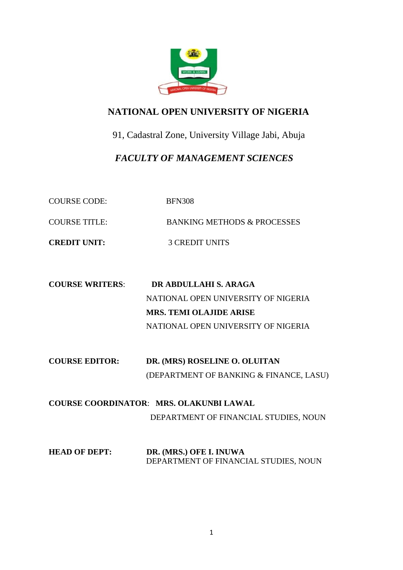

# **NATIONAL OPEN UNIVERSITY OF NIGERIA**

91, Cadastral Zone, University Village Jabi, Abuja

 *FACULTY OF MANAGEMENT SCIENCES*

COURSE CODE: BFN308 COURSE TITLE: BANKING METHODS & PROCESSES

**CREDIT UNIT:** 3 CREDIT UNITS

- **COURSE WRITERS**: **DR ABDULLAHI S. ARAGA** NATIONAL OPEN UNIVERSITY OF NIGERIA **MRS. TEMI OLAJIDE ARISE** NATIONAL OPEN UNIVERSITY OF NIGERIA
- **COURSE EDITOR: DR. (MRS) ROSELINE O. OLUITAN** (DEPARTMENT OF BANKING & FINANCE, LASU)
- **COURSE COORDINATOR**: **MRS. OLAKUNBI LAWAL** DEPARTMENT OF FINANCIAL STUDIES, NOUN
- **HEAD OF DEPT:** DR. (MRS.) OFE I. INUWA DEPARTMENT OF FINANCIAL STUDIES, NOUN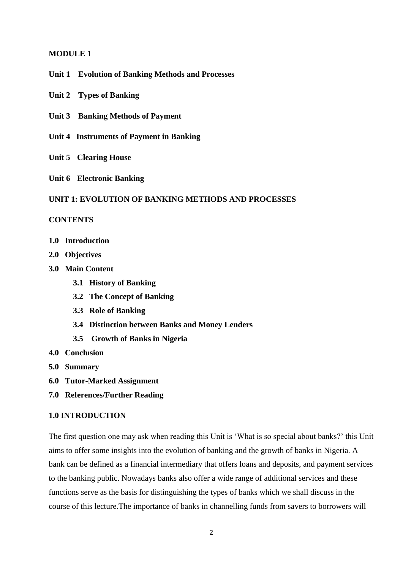### **MODULE 1**

**Unit 1 Evolution of Banking Methods and Processes**

**Unit 2 Types of Banking**

- **Unit 3 Banking Methods of Payment**
- **Unit 4 Instruments of Payment in Banking**
- **Unit 5 Clearing House**
- **Unit 6 Electronic Banking**

### **UNIT 1: EVOLUTION OF BANKING METHODS AND PROCESSES**

#### **CONTENTS**

- **1.0 Introduction**
- **2.0 Objectives**
- **3.0 Main Content**
	- **3.1 History of Banking**
	- **3.2 The Concept of Banking**
	- **3.3 Role of Banking**
	- **3.4 Distinction between Banks and Money Lenders**
	- **3.5 Growth of Banks in Nigeria**
- **4.0 Conclusion**
- **5.0 Summary**
- **6.0 Tutor-Marked Assignment**
- **7.0 References/Further Reading**

### **1.0 INTRODUCTION**

The first question one may ask when reading this Unit is 'What is so special about banks?' this Unit aims to offer some insights into the evolution of banking and the growth of banks in Nigeria. A bank can be defined as a financial intermediary that offers loans and deposits, and payment services to the banking public. Nowadays banks also offer a wide range of additional services and these functions serve as the basis for distinguishing the types of banks which we shall discuss in the course of this lecture.The importance of banks in channelling funds from savers to borrowers will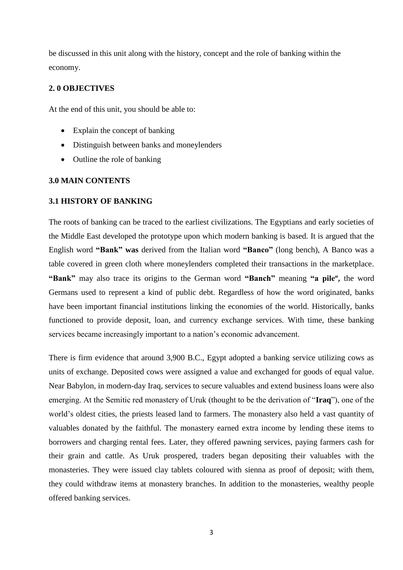be discussed in this unit along with the history, concept and the role of banking within the economy.

### **2. 0 OBJECTIVES**

At the end of this unit, you should be able to:

- Explain the concept of banking
- Distinguish between banks and moneylenders
- Outline the role of banking

#### **3.0 MAIN CONTENTS**

#### **3.1 HISTORY OF BANKING**

The roots of banking can be traced to the earliest civilizations. The Egyptians and early societies of the Middle East developed the prototype upon which modern banking is based. It is argued that the English word **"Bank" was** derived from the Italian word **"Banco"** (long bench), A Banco was a table covered in green cloth where moneylenders completed their transactions in the marketplace. **"Bank"** may also trace its origins to the German word **"Banch"** meaning **"a pile",** the word Germans used to represent a kind of public debt. Regardless of how the word originated, banks have been important financial institutions linking the economies of the world. Historically, banks functioned to provide deposit, loan, and currency exchange services. With time, these banking services became increasingly important to a nation's economic advancement.

There is firm evidence that around 3,900 B.C., Egypt adopted a banking service utilizing cows as units of exchange. Deposited cows were assigned a value and exchanged for goods of equal value. Near Babylon, in modern-day Iraq, services to secure valuables and extend business loans were also emerging. At the Semitic red monastery of Uruk (thought to be the derivation of "**Iraq**"), one of the world's oldest cities, the priests leased land to farmers. The monastery also held a vast quantity of valuables donated by the faithful. The monastery earned extra income by lending these items to borrowers and charging rental fees. Later, they offered pawning services, paying farmers cash for their grain and cattle. As Uruk prospered, traders began depositing their valuables with the monasteries. They were issued clay tablets coloured with sienna as proof of deposit; with them, they could withdraw items at monastery branches. In addition to the monasteries, wealthy people offered banking services.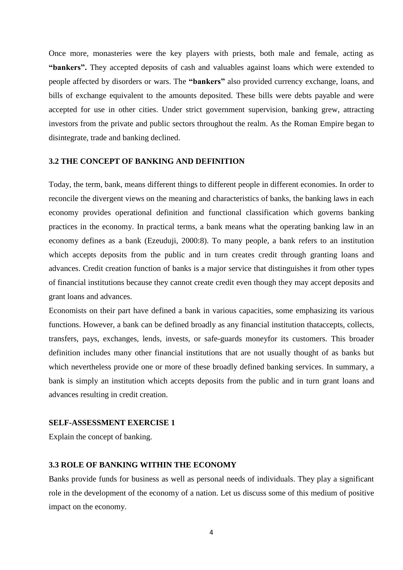Once more, monasteries were the key players with priests, both male and female, acting as **"bankers".** They accepted deposits of cash and valuables against loans which were extended to people affected by disorders or wars. The **"bankers"** also provided currency exchange, loans, and bills of exchange equivalent to the amounts deposited. These bills were debts payable and were accepted for use in other cities. Under strict government supervision, banking grew, attracting investors from the private and public sectors throughout the realm. As the Roman Empire began to disintegrate, trade and banking declined.

## **3.2 THE CONCEPT OF BANKING AND DEFINITION**

Today, the term, bank, means different things to different people in different economies. In order to reconcile the divergent views on the meaning and characteristics of banks, the banking laws in each economy provides operational definition and functional classification which governs banking practices in the economy. In practical terms, a bank means what the operating banking law in an economy defines as a bank (Ezeuduji, 2000:8). To many people, a bank refers to an institution which accepts deposits from the public and in turn creates credit through granting loans and advances. Credit creation function of banks is a major service that distinguishes it from other types of financial institutions because they cannot create credit even though they may accept deposits and grant loans and advances.

Economists on their part have defined a bank in various capacities, some emphasizing its various functions. However, a bank can be defined broadly as any financial institution thataccepts, collects, transfers, pays, exchanges, lends, invests, or safe-guards moneyfor its customers. This broader definition includes many other financial institutions that are not usually thought of as banks but which nevertheless provide one or more of these broadly defined banking services. In summary, a bank is simply an institution which accepts deposits from the public and in turn grant loans and advances resulting in credit creation.

#### **SELF-ASSESSMENT EXERCISE 1**

Explain the concept of banking.

### **3.3 ROLE OF BANKING WITHIN THE ECONOMY**

Banks provide funds for business as well as personal needs of individuals. They play a significant role in the development of the economy of a nation. Let us discuss some of this medium of positive impact on the economy.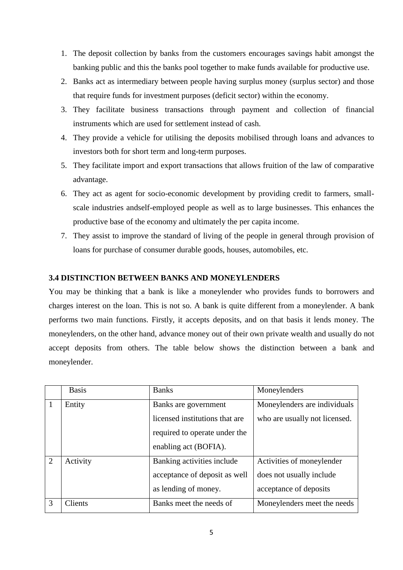- 1. The deposit collection by banks from the customers encourages savings habit amongst the banking public and this the banks pool together to make funds available for productive use.
- 2. Banks act as intermediary between people having surplus money (surplus sector) and those that require funds for investment purposes (deficit sector) within the economy.
- 3. They facilitate business transactions through payment and collection of financial instruments which are used for settlement instead of cash.
- 4. They provide a vehicle for utilising the deposits mobilised through loans and advances to investors both for short term and long-term purposes.
- 5. They facilitate import and export transactions that allows fruition of the law of comparative advantage.
- 6. They act as agent for socio-economic development by providing credit to farmers, smallscale industries andself-employed people as well as to large businesses. This enhances the productive base of the economy and ultimately the per capita income.
- 7. They assist to improve the standard of living of the people in general through provision of loans for purchase of consumer durable goods, houses, automobiles, etc.

## **3.4 DISTINCTION BETWEEN BANKS AND MONEYLENDERS**

You may be thinking that a bank is like a moneylender who provides funds to borrowers and charges interest on the loan. This is not so. A bank is quite different from a moneylender. A bank performs two main functions. Firstly, it accepts deposits, and on that basis it lends money. The moneylenders, on the other hand, advance money out of their own private wealth and usually do not accept deposits from others. The table below shows the distinction between a bank and moneylender.

|                | <b>Basis</b>   | <b>Banks</b>                                                                            | Moneylenders                                                                    |
|----------------|----------------|-----------------------------------------------------------------------------------------|---------------------------------------------------------------------------------|
| $^{\prime}1$   | Entity         | Banks are government<br>licensed institutions that are<br>required to operate under the | Moneylenders are individuals<br>who are usually not licensed.                   |
|                |                | enabling act (BOFIA).                                                                   |                                                                                 |
| $\overline{2}$ | Activity       | Banking activities include<br>acceptance of deposit as well<br>as lending of money.     | Activities of moneylender<br>does not usually include<br>acceptance of deposits |
| 3              | <b>Clients</b> | Banks meet the needs of                                                                 | Moneylenders meet the needs                                                     |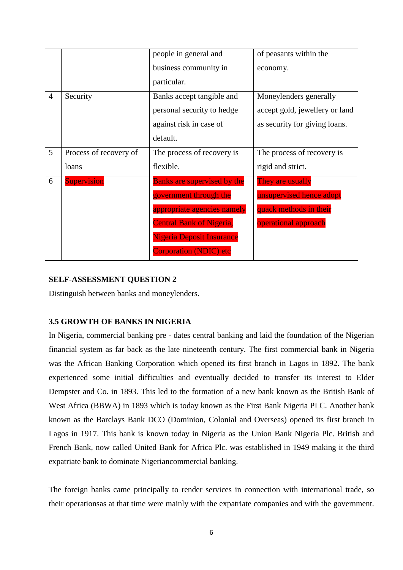|                 |                        | people in general and              | of peasants within the         |
|-----------------|------------------------|------------------------------------|--------------------------------|
|                 |                        | business community in              | economy.                       |
|                 |                        | particular.                        |                                |
| $\overline{4}$  | Security               | Banks accept tangible and          | Moneylenders generally         |
|                 |                        | personal security to hedge         | accept gold, jewellery or land |
|                 |                        | against risk in case of            | as security for giving loans.  |
|                 |                        | default.                           |                                |
| $5\overline{)}$ | Process of recovery of | The process of recovery is         | The process of recovery is     |
|                 | loans                  | flexible.                          | rigid and strict.              |
| 6               | <b>Supervision</b>     | <b>Banks are supervised by the</b> | They are usually               |
|                 |                        | government through the             | unsupervised hence adopt       |
|                 |                        | appropriate agencies namely        | quack methods in their         |
|                 |                        | <b>Central Bank of Nigeria,</b>    | operational approach           |
|                 |                        | Nigeria Deposit Insurance          |                                |
|                 |                        | <b>Corporation (NDIC) etc</b>      |                                |

## **SELF-ASSESSMENT QUESTION 2**

Distinguish between banks and moneylenders.

## **3.5 GROWTH OF BANKS IN NIGERIA**

In Nigeria, commercial banking pre - dates central banking and laid the foundation of the Nigerian financial system as far back as the late nineteenth century. The first commercial bank in Nigeria was the African Banking Corporation which opened its first branch in Lagos in 1892. The bank experienced some initial difficulties and eventually decided to transfer its interest to Elder Dempster and Co. in 1893. This led to the formation of a new bank known as the British Bank of West Africa (BBWA) in 1893 which is today known as the First Bank Nigeria PLC. Another bank known as the Barclays Bank DCO (Dominion, Colonial and Overseas) opened its first branch in Lagos in 1917. This bank is known today in Nigeria as the Union Bank Nigeria Plc. British and French Bank, now called United Bank for Africa Plc. was established in 1949 making it the third expatriate bank to dominate Nigeriancommercial banking.

The foreign banks came principally to render services in connection with international trade, so their operationsas at that time were mainly with the expatriate companies and with the government.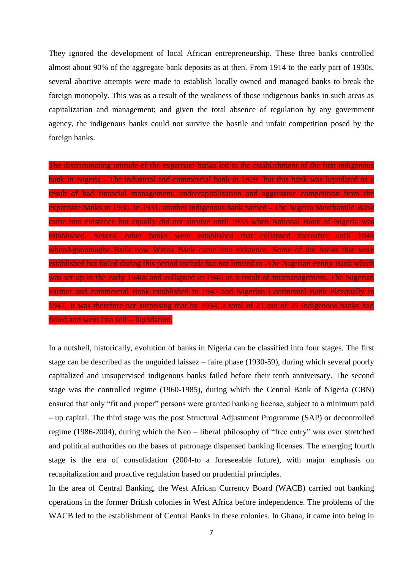They ignored the development of local African entrepreneurship. These three banks controlled almost about 90% of the aggregate bank deposits as at then. From 1914 to the early part of 1930s, several abortive attempts were made to establish locally owned and managed banks to break the foreign monopoly. This was as a result of the weakness of those indigenous banks in such areas as capitalization and management; and given the total absence of regulation by any government agency, the indigenous banks could not survive the hostile and unfair competition posed by the foreign banks.

The discriminating attitude of the expatriate banks led to the establishment of the first indigenous bank in Nigeria - The industrial and commercial bank in 1929 but this bank was liquidated as a result of bad financial management, undercapitalization and aggressive competition from the expatriate banks in 1930. In 1931, another indigenous bank named - The Nigeria Merchantile Bank came into existence but equally did not survive until 1933 when National Bank of Nigeria was established. Several other banks were established that collapsed thereafter until 1945 whenAgbonmagbe Bank now Wema Bank came into existence. Some of the banks that were established but failed during this period include but not limited to -The Nigerian Penny Bank which was set up in the early 1940s and collapsed in 1946 as a result of mismanagement. The Nigerian Farmer and commercial Bank established in 1947 and Nigerian Continental Bank Plcequally in 1947. It was therefore not surprising that by 1954, a total of 21 out of 25 indigenous banks had failed and went into self – liquidation.

In a nutshell, historically, evolution of banks in Nigeria can be classified into four stages. The first stage can be described as the unguided laissez – faire phase (1930-59), during which several poorly capitalized and unsupervised indigenous banks failed before their tenth anniversary. The second stage was the controlled regime (1960-1985), during which the Central Bank of Nigeria (CBN) ensured that only "fit and proper" persons were granted banking license, subject to a minimum paid – up capital. The third stage was the post Structural Adjustment Programme (SAP) or decontrolled regime (1986-2004), during which the Neo – liberal philosophy of "free entry" was over stretched and political authorities on the bases of patronage dispensed banking licenses. The emerging fourth stage is the era of consolidation (2004-to a foreseeable future), with major emphasis on recapitalization and proactive regulation based on prudential principles.

In the area of Central Banking, the West African Currency Board (WACB) carried out banking operations in the former British colonies in West Africa before independence. The problems of the WACB led to the establishment of Central Banks in these colonies. In Ghana, it came into being in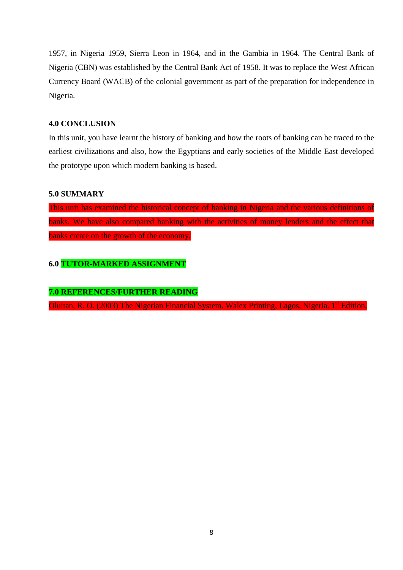1957, in Nigeria 1959, Sierra Leon in 1964, and in the Gambia in 1964. The Central Bank of Nigeria (CBN) was established by the Central Bank Act of 1958. It was to replace the West African Currency Board (WACB) of the colonial government as part of the preparation for independence in Nigeria.

### **4.0 CONCLUSION**

In this unit, you have learnt the history of banking and how the roots of banking can be traced to the earliest civilizations and also, how the Egyptians and early societies of the Middle East developed the prototype upon which modern banking is based.

### **5.0 SUMMARY**

This unit has examined the historical concept of banking in Nigeria and the various definitions of banks. We have also compared banking with the activities of money lenders and the effect that banks create on the growth of the economy.

## **6.0 TUTOR-MARKED ASSIGNMENT**

## **7.0 REFERENCES/FURTHER READING**

Oluitan, R. O. (2003) The Nigerian Financial System. Walex Printing, Lagos, Nigeria. 1<sup>st</sup> Edition.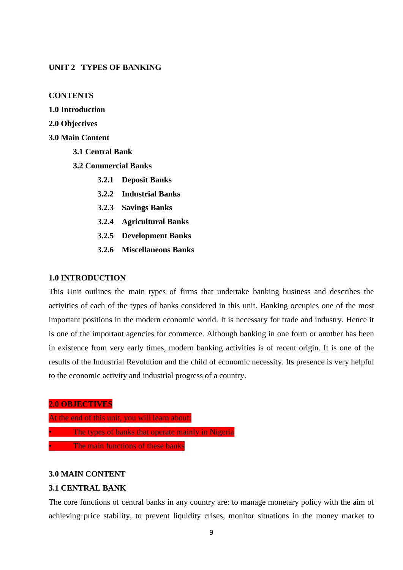### **UNIT 2 TYPES OF BANKING**

### **CONTENTS**

- **1.0 Introduction**
- **2.0 Objectives**
- **3.0 Main Content**
	- **3.1 Central Bank**
	- **3.2 Commercial Banks**
		- **3.2.1 Deposit Banks**
		- **3.2.2 Industrial Banks**
		- **3.2.3 Savings Banks**
		- **3.2.4 Agricultural Banks**
		- **3.2.5 Development Banks**
		- **3.2.6 Miscellaneous Banks**

### **1.0 INTRODUCTION**

This Unit outlines the main types of firms that undertake banking business and describes the activities of each of the types of banks considered in this unit. Banking occupies one of the most important positions in the modern economic world. It is necessary for trade and industry. Hence it is one of the important agencies for commerce. Although banking in one form or another has been in existence from very early times, modern banking activities is of recent origin. It is one of the results of the Industrial Revolution and the child of economic necessity. Its presence is very helpful to the economic activity and industrial progress of a country.

**2.0 OBJECTIVES**

- At the end of this unit, you will learn about:
- The types of banks that operate mainly in Nigeria
- The main functions of these banks

### **3.0 MAIN CONTENT**

### **3.1 CENTRAL BANK**

The core functions of central banks in any country are: to manage monetary policy with the aim of achieving price stability, to prevent liquidity crises, monitor situations in the money market to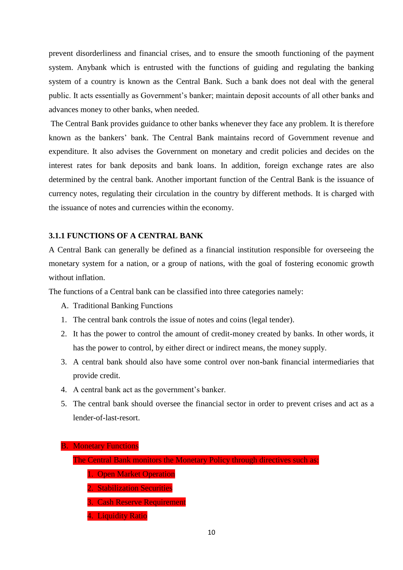prevent disorderliness and financial crises, and to ensure the smooth functioning of the payment system. Anybank which is entrusted with the functions of guiding and regulating the banking system of a country is known as the Central Bank. Such a bank does not deal with the general public. It acts essentially as Government's banker; maintain deposit accounts of all other banks and advances money to other banks, when needed.

The Central Bank provides guidance to other banks whenever they face any problem. It is therefore known as the bankers' bank. The Central Bank maintains record of Government revenue and expenditure. It also advises the Government on monetary and credit policies and decides on the interest rates for bank deposits and bank loans. In addition, foreign exchange rates are also determined by the central bank. Another important function of the Central Bank is the issuance of currency notes, regulating their circulation in the country by different methods. It is charged with the issuance of notes and currencies within the economy.

### **3.1.1 FUNCTIONS OF A CENTRAL BANK**

A Central Bank can generally be defined as a financial institution responsible for overseeing the monetary system for a nation, or a group of nations, with the goal of fostering economic growth without inflation.

The functions of a Central bank can be classified into three categories namely:

- A. Traditional Banking Functions
- 1. The central bank controls the issue of notes and coins (legal tender).
- 2. It has the power to control the amount of credit-money created by banks. In other words, it has the power to control, by either direct or indirect means, the money supply.
- 3. A central bank should also have some control over non**-**bank financial intermediaries that provide credit.
- 4. A central bank act as the government's banker.
- 5. The central bank should oversee the financial sector in order to prevent crises and act as a lender-of-last-resort.

|  | <b>B. Monetary Functions</b> |
|--|------------------------------|
|  |                              |

- The Central Bank monitors the Monetary Policy through directives such as:
	- 1. Open Market Operation
	- 2. Stabilization Securities
	- 3. Cash Reserve Requirement
	- 4. Liquidity Ratio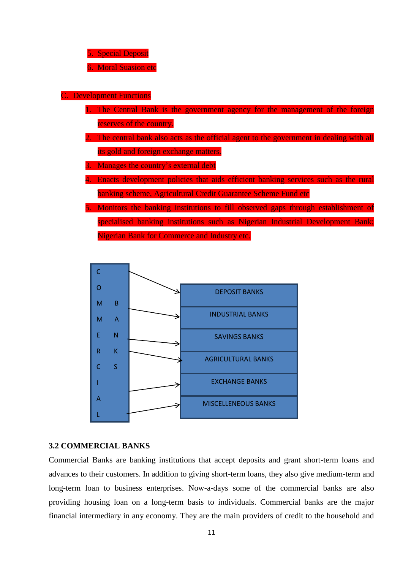5. Special Deposit

6. Moral Suasion etc

**Development Functions** 

- 1. The Central Bank is the government agency for the management of the foreign reserves of the country.
- The central bank also acts as the official agent to the government in dealing with all its gold and foreign exchange matters.

3. Manages the country's external debt

- 4. Enacts development policies that aids efficient banking services such as the rural banking scheme, Agricultural Credit Guarantee Scheme Fund etc
- 5. Monitors the banking institutions to fill observed gaps through establishment of specialised banking institutions such as Nigerian Industrial Development Bank; Nigerian Bank for Commerce and Industry etc.



### **3.2 COMMERCIAL BANKS**

Commercial Banks are banking institutions that accept deposits and grant short-term loans and advances to their customers. In addition to giving short-term loans, they also give medium-term and long-term loan to business enterprises. Now-a-days some of the commercial banks are also providing housing loan on a long-term basis to individuals. Commercial banks are the major financial intermediary in any economy. They are the main providers of credit to the household and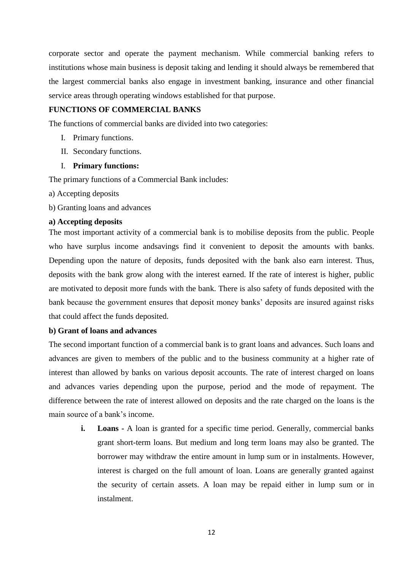corporate sector and operate the payment mechanism. While commercial banking refers to institutions whose main business is deposit taking and lending it should always be remembered that the largest commercial banks also engage in investment banking, insurance and other financial service areas through operating windows established for that purpose.

### **FUNCTIONS OF COMMERCIAL BANKS**

The functions of commercial banks are divided into two categories:

- I. Primary functions.
- II. Secondary functions.

### I. **Primary functions:**

The primary functions of a Commercial Bank includes:

- a) Accepting deposits
- b) Granting loans and advances

### **a) Accepting deposits**

The most important activity of a commercial bank is to mobilise deposits from the public. People who have surplus income andsavings find it convenient to deposit the amounts with banks. Depending upon the nature of deposits, funds deposited with the bank also earn interest. Thus, deposits with the bank grow along with the interest earned. If the rate of interest is higher, public are motivated to deposit more funds with the bank. There is also safety of funds deposited with the bank because the government ensures that deposit money banks' deposits are insured against risks that could affect the funds deposited.

#### **b) Grant of loans and advances**

The second important function of a commercial bank is to grant loans and advances. Such loans and advances are given to members of the public and to the business community at a higher rate of interest than allowed by banks on various deposit accounts. The rate of interest charged on loans and advances varies depending upon the purpose, period and the mode of repayment. The difference between the rate of interest allowed on deposits and the rate charged on the loans is the main source of a bank's income.

**i.** Loans - A loan is granted for a specific time period. Generally, commercial banks grant short-term loans. But medium and long term loans may also be granted. The borrower may withdraw the entire amount in lump sum or in instalments. However, interest is charged on the full amount of loan. Loans are generally granted against the security of certain assets. A loan may be repaid either in lump sum or in instalment.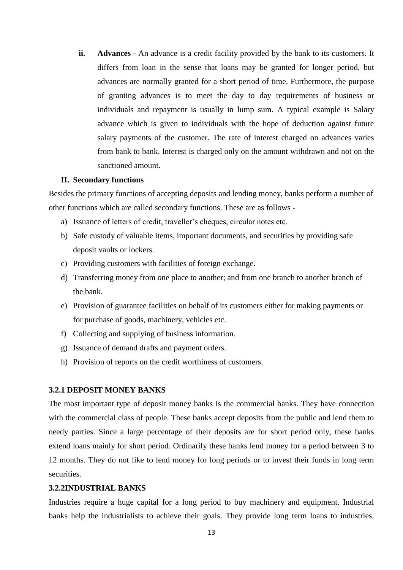**ii. Advances -** An advance is a credit facility provided by the bank to its customers. It differs from loan in the sense that loans may be granted for longer period, but advances are normally granted for a short period of time. Furthermore, the purpose of granting advances is to meet the day to day requirements of business or individuals and repayment is usually in lump sum. A typical example is Salary advance which is given to individuals with the hope of deduction against future salary payments of the customer. The rate of interest charged on advances varies from bank to bank. Interest is charged only on the amount withdrawn and not on the sanctioned amount.

#### **II. Secondary functions**

Besides the primary functions of accepting deposits and lending money, banks perform a number of other functions which are called secondary functions. These are as follows -

- a) Issuance of letters of credit, traveller's cheques, circular notes etc.
- b) Safe custody of valuable items, important documents, and securities by providing safe deposit vaults or lockers.
- c) Providing customers with facilities of foreign exchange.
- d) Transferring money from one place to another; and from one branch to another branch of the bank.
- e) Provision of guarantee facilities on behalf of its customers either for making payments or for purchase of goods, machinery, vehicles etc.
- f) Collecting and supplying of business information.
- g) Issuance of demand drafts and payment orders.
- h) Provision of reports on the credit worthiness of customers.

### **3.2.1 DEPOSIT MONEY BANKS**

The most important type of deposit money banks is the commercial banks. They have connection with the commercial class of people. These banks accept deposits from the public and lend them to needy parties. Since a large percentage of their deposits are for short period only, these banks extend loans mainly for short period. Ordinarily these banks lend money for a period between 3 to 12 months. They do not like to lend money for long periods or to invest their funds in long term securities.

### **3.2.2INDUSTRIAL BANKS**

Industries require a huge capital for a long period to buy machinery and equipment. Industrial banks help the industrialists to achieve their goals. They provide long term loans to industries.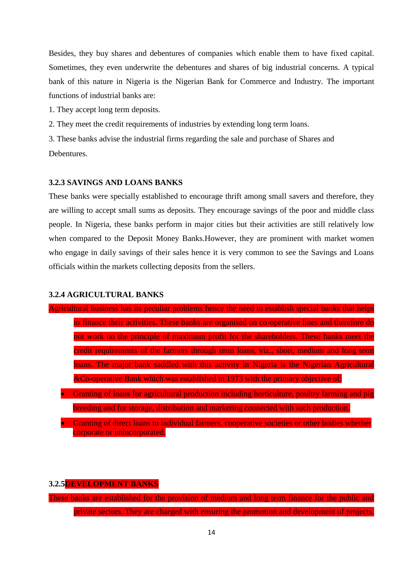Besides, they buy shares and debentures of companies which enable them to have fixed capital. Sometimes, they even underwrite the debentures and shares of big industrial concerns. A typical bank of this nature in Nigeria is the Nigerian Bank for Commerce and Industry. The important functions of industrial banks are:

1. They accept long term deposits.

2. They meet the credit requirements of industries by extending long term loans.

3. These banks advise the industrial firms regarding the sale and purchase of Shares and

Debentures.

### **3.2.3 SAVINGS AND LOANS BANKS**

These banks were specially established to encourage thrift among small savers and therefore, they are willing to accept small sums as deposits. They encourage savings of the poor and middle class people. In Nigeria, these banks perform in major cities but their activities are still relatively low when compared to the Deposit Money Banks.However, they are prominent with market women who engage in daily savings of their sales hence it is very common to see the Savings and Loans officials within the markets collecting deposits from the sellers.

#### **3.2.4 AGRICULTURAL BANKS**

- Agricultural business has its peculiar problems hence the need to establish special banks that helps to finance their activities. These banks are organised on co-operative lines and therefore do not work on the principle of maximum profit for the shareholders. These banks meet the credit requirements of the farmers through term loans, viz., short, medium and long term loans. The major bank saddled with this activity in Nigeria is the Nigerian Agricultural &Co-operative Bank which was established in 1973 with the primary objective of:
	- Granting of loans for agricultural production including horticulture, poultry farming and pig breeding and for storage, distribution and marketing connected with such production.
	- Granting of direct loans to individual farmers, cooperative societies or other bodies whether corporate or unincorporated.

#### **3.2.5DEVELOPMENT BANKS**

These banks are established for the provision of medium and long term finance for the public and private sectors. They are charged with ensuring the promotion and development of projects.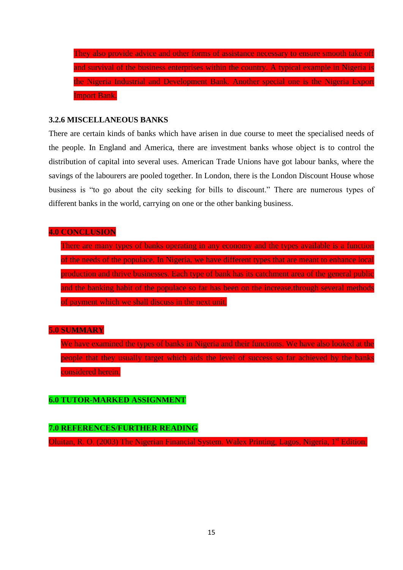They also provide advice and other forms of assistance necessary to ensure smooth take off and survival of the business enterprises within the country. A typical example in Nigeria is the Nigeria Industrial and Development Bank. Another special one is the Nigeria Export Import Bank.

## **3.2.6 MISCELLANEOUS BANKS**

There are certain kinds of banks which have arisen in due course to meet the specialised needs of the people. In England and America, there are investment banks whose object is to control the distribution of capital into several uses. American Trade Unions have got labour banks, where the savings of the labourers are pooled together. In London, there is the London Discount House whose business is "to go about the city seeking for bills to discount." There are numerous types of different banks in the world, carrying on one or the other banking business.

### **4.0 CONCLUSION**

There are many types of banks operating in any economy and the types available is a function of the needs of the populace. In Nigeria, we have different types that are meant to enhance local production and thrive businesses. Each type of bank has its catchment area of the general public and the banking habit of the populace so far has been on the increase.through several methods of payment which we shall discuss in the next unit.

## **5.0 SUMMARY**

We have examined the types of banks in Nigeria and their functions. We have also looked at the people that they usually target which aids the level of success so far achieved by the banks considered herein.

## **6.0 TUTOR-MARKED ASSIGNMENT**

## **7.0 REFERENCES/FURTHER READING**

Oluitan, R. O. (2003) The Nigerian Financial System. Walex Printing, Lagos, Nigeria, 1<sup>st</sup> Edition.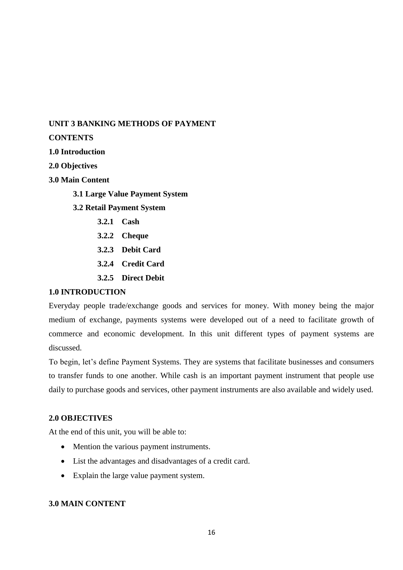## **UNIT 3 BANKING METHODS OF PAYMENT**

## **CONTENTS**

## **1.0 Introduction**

**2.0 Objectives**

**3.0 Main Content**

**3.1 Large Value Payment System**

- **3.2 Retail Payment System**
	- **3.2.1 Cash**
	- **3.2.2 Cheque**
	- **3.2.3 Debit Card**
	- **3.2.4 Credit Card**
	- **3.2.5 Direct Debit**

### **1.0 INTRODUCTION**

Everyday people trade/exchange goods and services for money. With money being the major medium of exchange, payments systems were developed out of a need to facilitate growth of commerce and economic development. In this unit different types of payment systems are discussed.

To begin, let's define Payment Systems. They are systems that facilitate businesses and consumers to transfer funds to one another. While cash is an important payment instrument that people use daily to purchase goods and services, other payment instruments are also available and widely used.

## **2.0 OBJECTIVES**

At the end of this unit, you will be able to:

- Mention the various payment instruments.
- List the advantages and disadvantages of a credit card.
- Explain the large value payment system.

### **3.0 MAIN CONTENT**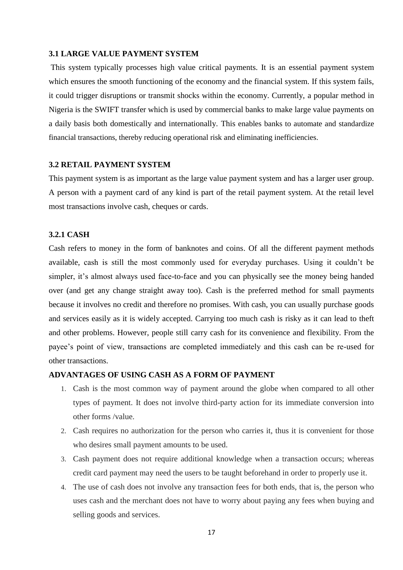#### **3.1 LARGE VALUE PAYMENT SYSTEM**

This system typically processes high value critical payments. It is an essential payment system which ensures the smooth functioning of the economy and the financial system. If this system fails, it could trigger disruptions or transmit shocks within the economy. Currently, a popular method in Nigeria is the SWIFT transfer which is used by commercial banks to make large value payments on a daily basis both domestically and internationally. This enables banks to automate and standardize financial transactions, thereby reducing operational risk and eliminating inefficiencies.

#### **3.2 RETAIL PAYMENT SYSTEM**

This payment system is as important as the large value payment system and has a larger user group. A person with a payment card of any kind is part of the retail payment system. At the retail level most transactions involve cash, cheques or cards.

### **3.2.1 CASH**

Cash refers to money in the form of banknotes and coins. Of all the different payment methods available, cash is still the most commonly used for everyday purchases. Using it couldn't be simpler, it's almost always used face-to-face and you can physically see the money being handed over (and get any change straight away too). Cash is the preferred method for small payments because it involves no credit and therefore no promises. With cash, you can usually purchase goods and services easily as it is widely accepted. Carrying too much cash is risky as it can lead to theft and other problems. However, people still carry cash for its convenience and flexibility. From the payee's point of view, transactions are completed immediately and this cash can be re-used for other transactions.

### **ADVANTAGES OF USING CASH AS A FORM OF PAYMENT**

- 1. Cash is the most common way of payment around the globe when compared to all other types of payment. It does not involve third-party action for its immediate conversion into other forms /value.
- 2. Cash requires no authorization for the person who carries it, thus it is convenient for those who desires small payment amounts to be used.
- 3. Cash payment does not require additional knowledge when a transaction occurs; whereas credit card payment may need the users to be taught beforehand in order to properly use it.
- 4. The use of cash does not involve any transaction fees for both ends, that is, the person who uses cash and the merchant does not have to worry about paying any fees when buying and selling goods and services.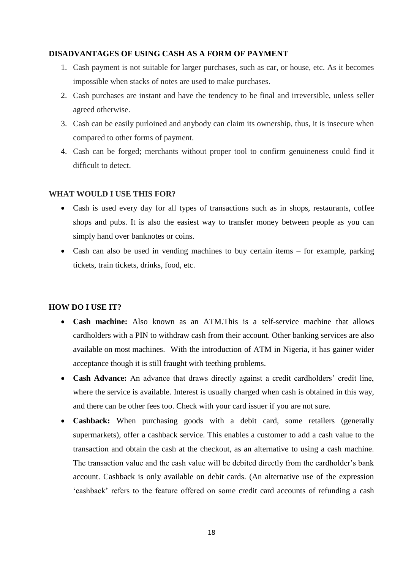### **DISADVANTAGES OF USING CASH AS A FORM OF PAYMENT**

- 1. Cash payment is not suitable for larger purchases, such as car, or house, etc. As it becomes impossible when stacks of notes are used to make purchases.
- 2. Cash purchases are instant and have the tendency to be final and irreversible, unless seller agreed otherwise.
- 3. Cash can be easily purloined and anybody can claim its ownership, thus, it is insecure when compared to other forms of payment.
- 4. Cash can be forged; merchants without proper tool to confirm genuineness could find it difficult to detect.

## **WHAT WOULD I USE THIS FOR?**

- Cash is used every day for all types of transactions such as in shops, restaurants, coffee shops and pubs. It is also the easiest way to transfer money between people as you can simply hand over banknotes or coins.
- Cash can also be used in vending machines to buy certain items for example, parking tickets, train tickets, drinks, food, etc.

## **HOW DO I USE IT?**

- **Cash machine:** Also known as an ATM.This is a self-service machine that allows cardholders with a PIN to withdraw cash from their account. Other banking services are also available on most machines. With the introduction of ATM in Nigeria, it has gainer wider acceptance though it is still fraught with teething problems.
- **Cash Advance:** An advance that draws directly against a credit cardholders' credit line, where the service is available. Interest is usually charged when cash is obtained in this way, and there can be other fees too. Check with your card issuer if you are not sure.
- **Cashback:** When purchasing goods with a debit card, some retailers (generally supermarkets), offer a cashback service. This enables a customer to add a cash value to the transaction and obtain the cash at the checkout, as an alternative to using a cash machine. The transaction value and the cash value will be debited directly from the cardholder's bank account. Cashback is only available on debit cards. (An alternative use of the expression 'cashback' refers to the feature offered on some credit card accounts of refunding a cash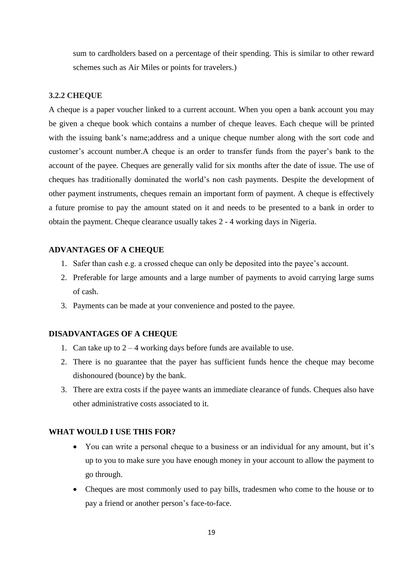sum to cardholders based on a percentage of their spending. This is similar to other reward schemes such as Air Miles or points for travelers.)

## **3.2.2 CHEQUE**

A cheque is a paper voucher linked to a current account. When you open a bank account you may be given a cheque book which contains a number of cheque leaves. Each cheque will be printed with the issuing bank's name; address and a unique cheque number along with the sort code and customer's account number.A cheque is an order to transfer funds from the payer's bank to the account of the payee. Cheques are generally valid for six months after the date of issue. The use of cheques has traditionally dominated the world's non cash payments. Despite the development of other payment instruments, cheques remain an important form of payment. A cheque is effectively a future promise to pay the amount stated on it and needs to be presented to a bank in order to obtain the payment. Cheque clearance usually takes 2 - 4 working days in Nigeria.

### **ADVANTAGES OF A CHEQUE**

- 1. Safer than cash e.g. a crossed cheque can only be deposited into the payee's account.
- 2. Preferable for large amounts and a large number of payments to avoid carrying large sums of cash.
- 3. Payments can be made at your convenience and posted to the payee.

### **DISADVANTAGES OF A CHEQUE**

- 1. Can take up to  $2 4$  working days before funds are available to use.
- 2. There is no guarantee that the payer has sufficient funds hence the cheque may become dishonoured (bounce) by the bank.
- 3. There are extra costs if the payee wants an immediate clearance of funds. Cheques also have other administrative costs associated to it.

### **WHAT WOULD I USE THIS FOR?**

- You can write a personal cheque to a business or an individual for any amount, but it's up to you to make sure you have enough money in your account to allow the payment to go through.
- Cheques are most commonly used to pay bills, tradesmen who come to the house or to pay a friend or another person's face-to-face.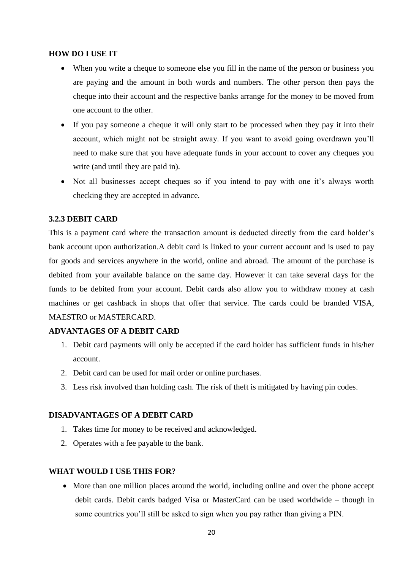### **HOW DO I USE IT**

- When you write a cheque to someone else you fill in the name of the person or business you are paying and the amount in both words and numbers. The other person then pays the cheque into their account and the respective banks arrange for the money to be moved from one account to the other.
- If you pay someone a cheque it will only start to be processed when they pay it into their account, which might not be straight away. If you want to avoid going overdrawn you'll need to make sure that you have adequate funds in your account to cover any cheques you write (and until they are paid in).
- Not all businesses accept cheques so if you intend to pay with one it's always worth checking they are accepted in advance.

### **3.2.3 DEBIT CARD**

This is a payment card where the transaction amount is deducted directly from the card holder's bank account upon authorization.A debit card is linked to your current account and is used to pay for goods and services anywhere in the world, online and abroad. The amount of the purchase is debited from your available balance on the same day. However it can take several days for the funds to be debited from your account. Debit cards also allow you to withdraw money at cash machines or get cashback in shops that offer that service. The cards could be branded VISA, MAESTRO or MASTERCARD.

### **ADVANTAGES OF A DEBIT CARD**

- 1. Debit card payments will only be accepted if the card holder has sufficient funds in his/her account.
- 2. Debit card can be used for mail order or online purchases.
- 3. Less risk involved than holding cash. The risk of theft is mitigated by having pin codes.

### **DISADVANTAGES OF A DEBIT CARD**

- 1. Takes time for money to be received and acknowledged.
- 2. Operates with a fee payable to the bank.

### **WHAT WOULD I USE THIS FOR?**

 More than one million places around the world, including online and over the phone accept debit cards. Debit cards badged Visa or MasterCard can be used worldwide – though in some countries you'll still be asked to sign when you pay rather than giving a PIN.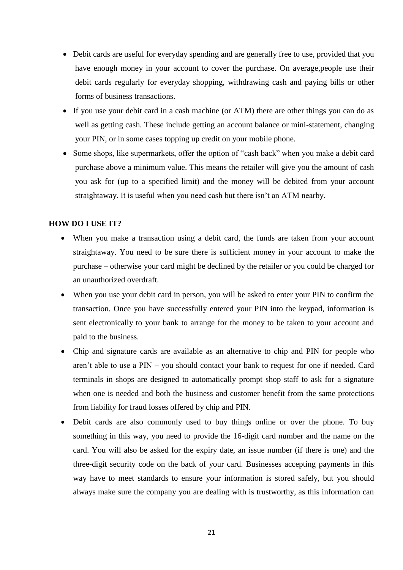- Debit cards are useful for everyday spending and are generally free to use, provided that you have enough money in your account to cover the purchase. On average,people use their debit cards regularly for everyday shopping, withdrawing cash and paying bills or other forms of business transactions.
- If you use your debit card in a cash machine (or ATM) there are other things you can do as well as getting cash. These include getting an account balance or mini-statement, changing your PIN, or in some cases topping up credit on your mobile phone.
- Some shops, like supermarkets, offer the option of "cash back" when you make a debit card purchase above a minimum value. This means the retailer will give you the amount of cash you ask for (up to a specified limit) and the money will be debited from your account straightaway. It is useful when you need cash but there isn't an ATM nearby.

### **HOW DO I USE IT?**

- When you make a transaction using a debit card, the funds are taken from your account straightaway. You need to be sure there is sufficient money in your account to make the purchase – otherwise your card might be declined by the retailer or you could be charged for an unauthorized overdraft.
- When you use your debit card in person, you will be asked to enter your PIN to confirm the transaction. Once you have successfully entered your PIN into the keypad, information is sent electronically to your bank to arrange for the money to be taken to your account and paid to the business.
- Chip and signature cards are available as an alternative to chip and PIN for people who aren't able to use a PIN – you should contact your bank to request for one if needed. Card terminals in shops are designed to automatically prompt shop staff to ask for a signature when one is needed and both the business and customer benefit from the same protections from liability for fraud losses offered by chip and PIN.
- Debit cards are also commonly used to buy things online or over the phone. To buy something in this way, you need to provide the 16-digit card number and the name on the card. You will also be asked for the expiry date, an issue number (if there is one) and the three-digit security code on the back of your card. Businesses accepting payments in this way have to meet standards to ensure your information is stored safely, but you should always make sure the company you are dealing with is trustworthy, as this information can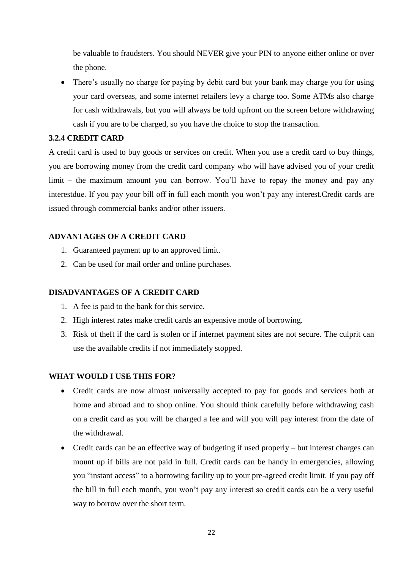be valuable to fraudsters. You should NEVER give your PIN to anyone either online or over the phone.

• There's usually no charge for paying by debit card but your bank may charge you for using your card overseas, and some internet retailers levy a charge too. Some ATMs also charge for cash withdrawals, but you will always be told upfront on the screen before withdrawing cash if you are to be charged, so you have the choice to stop the transaction.

## **3.2.4 CREDIT CARD**

A credit card is used to buy goods or services on credit. When you use a credit card to buy things, you are borrowing money from the credit card company who will have advised you of your credit limit – the maximum amount you can borrow. You'll have to repay the money and pay any interestdue. If you pay your bill off in full each month you won't pay any interest.Credit cards are issued through commercial banks and/or other issuers.

## **ADVANTAGES OF A CREDIT CARD**

- 1. Guaranteed payment up to an approved limit.
- 2. Can be used for mail order and online purchases.

### **DISADVANTAGES OF A CREDIT CARD**

- 1. A fee is paid to the bank for this service.
- 2. High interest rates make credit cards an expensive mode of borrowing.
- 3. Risk of theft if the card is stolen or if internet payment sites are not secure. The culprit can use the available credits if not immediately stopped.

### **WHAT WOULD I USE THIS FOR?**

- Credit cards are now almost universally accepted to pay for goods and services both at home and abroad and to shop online. You should think carefully before withdrawing cash on a credit card as you will be charged a fee and will you will pay interest from the date of the withdrawal.
- Credit cards can be an effective way of budgeting if used properly but interest charges can mount up if bills are not paid in full. Credit cards can be handy in emergencies, allowing you "instant access" to a borrowing facility up to your pre-agreed credit limit. If you pay off the bill in full each month, you won't pay any interest so credit cards can be a very useful way to borrow over the short term.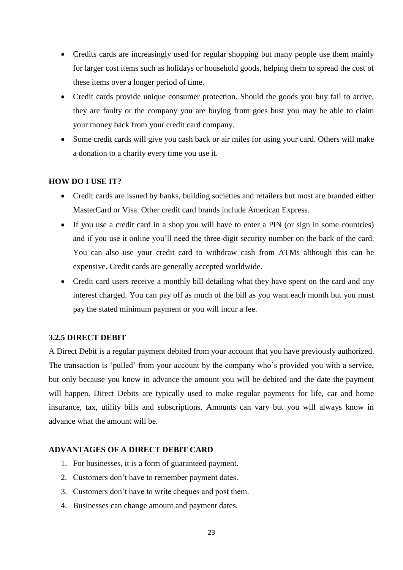- Credits cards are increasingly used for regular shopping but many people use them mainly for larger cost items such as holidays or household goods, helping them to spread the cost of these items over a longer period of time.
- Credit cards provide unique consumer protection. Should the goods you buy fail to arrive, they are faulty or the company you are buying from goes bust you may be able to claim your money back from your credit card company.
- Some credit cards will give you cash back or air miles for using your card. Others will make a donation to a charity every time you use it.

### **HOW DO I USE IT?**

- Credit cards are issued by banks, building societies and retailers but most are branded either MasterCard or Visa. Other credit card brands include American Express.
- If you use a credit card in a shop you will have to enter a PIN (or sign in some countries) and if you use it online you'll need the three-digit security number on the back of the card. You can also use your credit card to withdraw cash from ATMs although this can be expensive. Credit cards are generally accepted worldwide.
- Credit card users receive a monthly bill detailing what they have spent on the card and any interest charged. You can pay off as much of the bill as you want each month but you must pay the stated minimum payment or you will incur a fee.

### **3.2.5 DIRECT DEBIT**

A Direct Debit is a regular payment debited from your account that you have previously authorized. The transaction is 'pulled' from your account by the company who's provided you with a service, but only because you know in advance the amount you will be debited and the date the payment will happen. Direct Debits are typically used to make regular payments for life, car and home insurance, tax, utility bills and subscriptions. Amounts can vary but you will always know in advance what the amount will be.

### **ADVANTAGES OF A DIRECT DEBIT CARD**

- 1. For businesses, it is a form of guaranteed payment.
- 2. Customers don't have to remember payment dates.
- 3. Customers don't have to write cheques and post them.
- 4. Businesses can change amount and payment dates.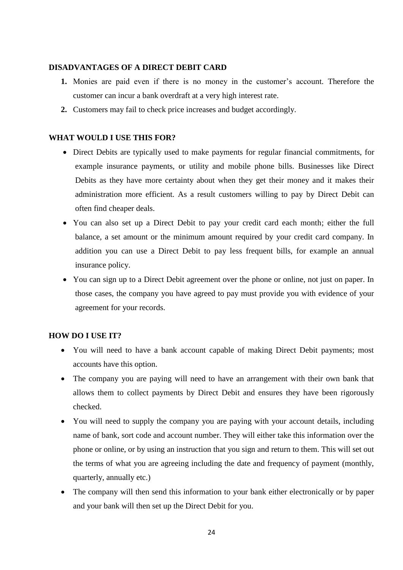### **DISADVANTAGES OF A DIRECT DEBIT CARD**

- **1.** Monies are paid even if there is no money in the customer's account. Therefore the customer can incur a bank overdraft at a very high interest rate.
- **2.** Customers may fail to check price increases and budget accordingly.

## **WHAT WOULD I USE THIS FOR?**

- Direct Debits are typically used to make payments for regular financial commitments, for example insurance payments, or utility and mobile phone bills. Businesses like Direct Debits as they have more certainty about when they get their money and it makes their administration more efficient. As a result customers willing to pay by Direct Debit can often find cheaper deals.
- You can also set up a Direct Debit to pay your credit card each month; either the full balance, a set amount or the minimum amount required by your credit card company. In addition you can use a Direct Debit to pay less frequent bills, for example an annual insurance policy.
- You can sign up to a Direct Debit agreement over the phone or online, not just on paper. In those cases, the company you have agreed to pay must provide you with evidence of your agreement for your records.

### **HOW DO I USE IT?**

- You will need to have a bank account capable of making Direct Debit payments; most accounts have this option.
- The company you are paying will need to have an arrangement with their own bank that allows them to collect payments by Direct Debit and ensures they have been rigorously checked.
- You will need to supply the company you are paying with your account details, including name of bank, sort code and account number. They will either take this information over the phone or online, or by using an instruction that you sign and return to them. This will set out the terms of what you are agreeing including the date and frequency of payment (monthly, quarterly, annually etc.)
- The company will then send this information to your bank either electronically or by paper and your bank will then set up the Direct Debit for you.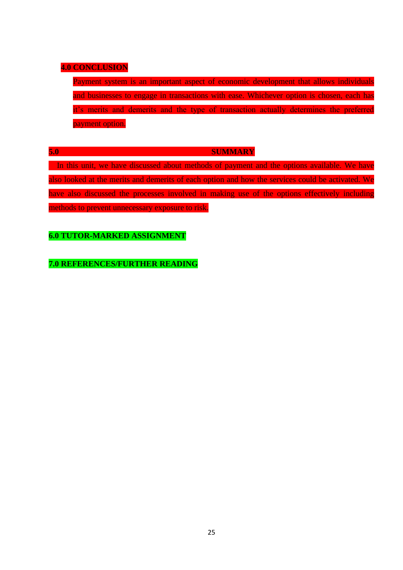## **4.0 CONCLUSION**

Payment system is an important aspect of economic development that allows individuals and businesses to engage in transactions with ease. Whichever option is chosen, each has it's merits and demerits and the type of transaction actually determines the preferred payment option.

#### **5.0 SUMMARY**

In this unit, we have discussed about methods of payment and the options available. We have also looked at the merits and demerits of each option and how the services could be activated. We have also discussed the processes involved in making use of the options effectively including methods to prevent unnecessary exposure to risk.

## **6.0 TUTOR-MARKED ASSIGNMENT**

**7.0 REFERENCES/FURTHER READING**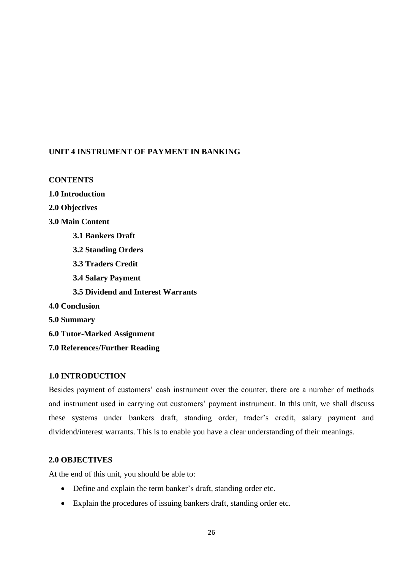## **UNIT 4 INSTRUMENT OF PAYMENT IN BANKING**

## **CONTENTS**

**1.0 Introduction**

**2.0 Objectives**

- **3.0 Main Content**
	- **3.1 Bankers Draft**
	- **3.2 Standing Orders**
	- **3.3 Traders Credit**
	- **3.4 Salary Payment**
	- **3.5 Dividend and Interest Warrants**
- **4.0 Conclusion**
- **5.0 Summary**
- **6.0 Tutor-Marked Assignment**
- **7.0 References/Further Reading**

## **1.0 INTRODUCTION**

Besides payment of customers' cash instrument over the counter, there are a number of methods and instrument used in carrying out customers' payment instrument. In this unit, we shall discuss these systems under bankers draft, standing order, trader's credit, salary payment and dividend/interest warrants. This is to enable you have a clear understanding of their meanings.

## **2.0 OBJECTIVES**

At the end of this unit, you should be able to:

- Define and explain the term banker's draft, standing order etc.
- Explain the procedures of issuing bankers draft, standing order etc.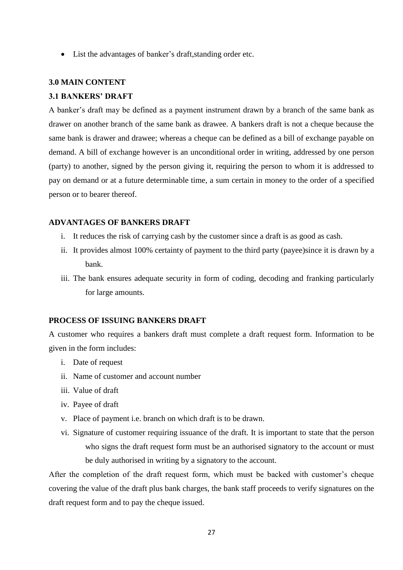List the advantages of banker's draft,standing order etc.

### **3.0 MAIN CONTENT**

### **3.1 BANKERS' DRAFT**

A banker's draft may be defined as a payment instrument drawn by a branch of the same bank as drawer on another branch of the same bank as drawee. A bankers draft is not a cheque because the same bank is drawer and drawee; whereas a cheque can be defined as a bill of exchange payable on demand. A bill of exchange however is an unconditional order in writing, addressed by one person (party) to another, signed by the person giving it, requiring the person to whom it is addressed to pay on demand or at a future determinable time, a sum certain in money to the order of a specified person or to bearer thereof.

### **ADVANTAGES OF BANKERS DRAFT**

- i. It reduces the risk of carrying cash by the customer since a draft is as good as cash.
- ii. It provides almost 100% certainty of payment to the third party (payee)since it is drawn by a bank.
- iii. The bank ensures adequate security in form of coding, decoding and franking particularly for large amounts.

### **PROCESS OF ISSUING BANKERS DRAFT**

A customer who requires a bankers draft must complete a draft request form. Information to be given in the form includes:

- i. Date of request
- ii. Name of customer and account number
- iii. Value of draft
- iv. Payee of draft
- v. Place of payment i.e. branch on which draft is to be drawn.
- vi. Signature of customer requiring issuance of the draft. It is important to state that the person who signs the draft request form must be an authorised signatory to the account or must be duly authorised in writing by a signatory to the account.

After the completion of the draft request form, which must be backed with customer's cheque covering the value of the draft plus bank charges, the bank staff proceeds to verify signatures on the draft request form and to pay the cheque issued.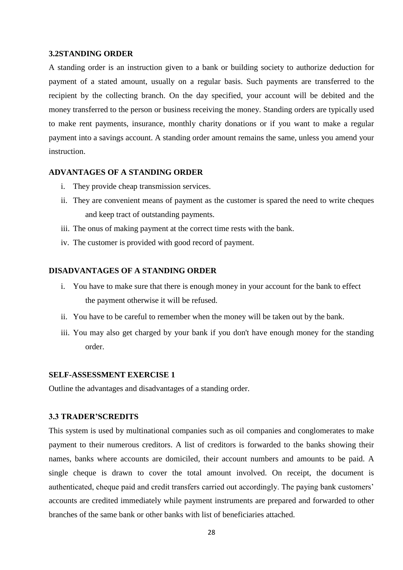#### **3.2STANDING ORDER**

A standing order is an instruction given to a bank or building society to authorize deduction for payment of a stated amount, usually on a regular basis. Such payments are transferred to the recipient by the collecting branch. On the day specified, your account will be debited and the money transferred to the person or business receiving the money. Standing orders are typically used to make rent payments, insurance, monthly charity donations or if you want to make a regular payment into a savings account. A standing order amount remains the same, unless you amend your instruction.

### **ADVANTAGES OF A STANDING ORDER**

- i. They provide cheap transmission services.
- ii. They are convenient means of payment as the customer is spared the need to write cheques and keep tract of outstanding payments.
- iii. The onus of making payment at the correct time rests with the bank.
- iv. The customer is provided with good record of payment.

### **DISADVANTAGES OF A STANDING ORDER**

- i. You have to make sure that there is enough money in your account for the bank to effect the payment otherwise it will be refused.
- ii. You have to be careful to remember when the money will be taken out by the bank.
- iii. You may also get charged by your bank if you don't have enough money for the standing order.

### **SELF-ASSESSMENT EXERCISE 1**

Outline the advantages and disadvantages of a standing order.

#### **3.3 TRADER'SCREDITS**

This system is used by multinational companies such as oil companies and conglomerates to make payment to their numerous creditors. A list of creditors is forwarded to the banks showing their names, banks where accounts are domiciled, their account numbers and amounts to be paid. A single cheque is drawn to cover the total amount involved. On receipt, the document is authenticated, cheque paid and credit transfers carried out accordingly. The paying bank customers' accounts are credited immediately while payment instruments are prepared and forwarded to other branches of the same bank or other banks with list of beneficiaries attached.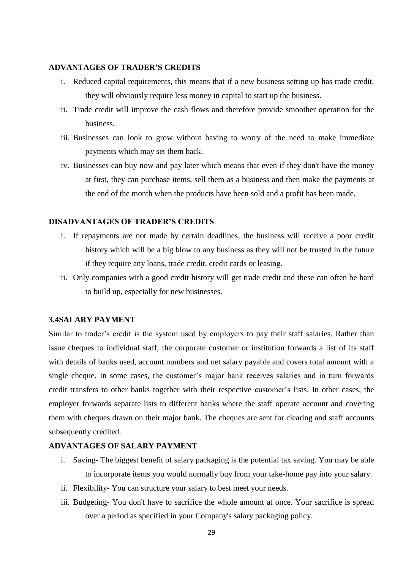### **ADVANTAGES OF TRADER'S CREDITS**

- i. Reduced capital requirements, this means that if a new business setting up has trade credit, they will obviously require less money in capital to start up the business.
- ii. Trade credit will improve the cash flows and therefore provide smoother operation for the business.
- iii. Businesses can look to grow without having to worry of the need to make immediate payments which may set them back.
- iv. Businesses can buy now and pay later which means that even if they don't have the money at first, they can purchase items, sell them as a business and then make the payments at the end of the month when the products have been sold and a profit has been made.

### **DISADVANTAGES OF TRADER'S CREDITS**

- i. If repayments are not made by certain deadlines, the business will receive a poor credit history which will be a big blow to any business as they will not be trusted in the future if they require any loans, trade credit, credit cards or leasing.
- ii. Only companies with a good credit history will get trade credit and these can often be hard to build up, especially for new businesses.

### **3.4SALARY PAYMENT**

Similar to trader's credit is the system used by employers to pay their staff salaries. Rather than issue cheques to individual staff, the corporate customer or institution forwards a list of its staff with details of banks used, account numbers and net salary payable and covers total amount with a single cheque. In some cases, the customer's major bank receives salaries and in turn forwards credit transfers to other banks together with their respective customer's lists. In other cases, the employer forwards separate lists to different banks where the staff operate account and covering them with cheques drawn on their major bank. The cheques are sent for clearing and staff accounts subsequently credited.

### **ADVANTAGES OF SALARY PAYMENT**

- i. Saving- The biggest benefit of salary packaging is the potential tax saving. You may be able to incorporate items you would normally buy from your take-home pay into your salary.
- ii. Flexibility- You can structure your salary to best meet your needs.
- iii. Budgeting- You don't have to sacrifice the whole amount at once. Your sacrifice is spread over a period as specified in your Company's salary packaging policy.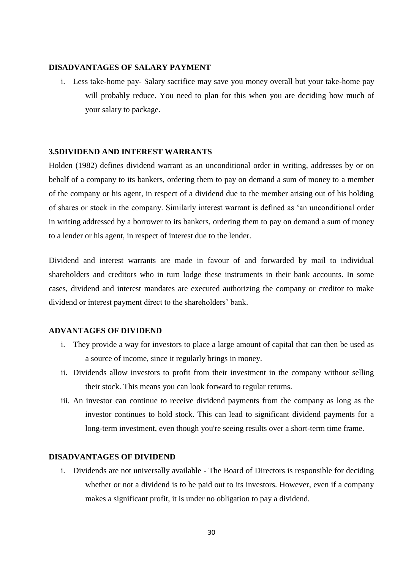### **DISADVANTAGES OF SALARY PAYMENT**

i. Less take-home pay- Salary sacrifice may save you money overall but your take-home pay will probably reduce. You need to plan for this when you are deciding how much of your salary to package.

#### **3.5DIVIDEND AND INTEREST WARRANTS**

Holden (1982) defines dividend warrant as an unconditional order in writing, addresses by or on behalf of a company to its bankers, ordering them to pay on demand a sum of money to a member of the company or his agent, in respect of a dividend due to the member arising out of his holding of shares or stock in the company. Similarly interest warrant is defined as 'an unconditional order in writing addressed by a borrower to its bankers, ordering them to pay on demand a sum of money to a lender or his agent, in respect of interest due to the lender.

Dividend and interest warrants are made in favour of and forwarded by mail to individual shareholders and creditors who in turn lodge these instruments in their bank accounts. In some cases, dividend and interest mandates are executed authorizing the company or creditor to make dividend or interest payment direct to the shareholders' bank.

### **ADVANTAGES OF DIVIDEND**

- i. They provide a way for investors to place a large amount of capital that can then be used as a source of income, since it regularly brings in money.
- ii. Dividends allow investors to profit from their investment in the company without selling their stock. This means you can look forward to regular returns.
- iii. An investor can continue to receive dividend payments from the company as long as the investor continues to hold stock. This can lead to significant dividend payments for a long-term investment, even though you're seeing results over a short-term time frame.

### **DISADVANTAGES OF DIVIDEND**

i. Dividends are not universally available - The Board of Directors is responsible for deciding whether or not a dividend is to be paid out to its investors. However, even if a company makes a significant profit, it is under no obligation to pay a dividend.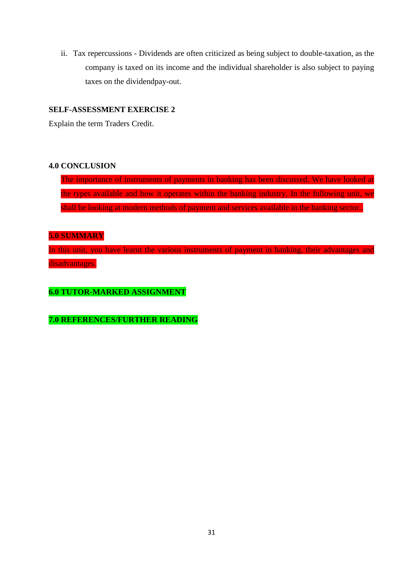ii. Tax repercussions - Dividends are often criticized as being subject to double-taxation, as the company is taxed on its income and the individual shareholder is also subject to paying taxes on the dividendpay-out.

### **SELF-ASSESSMENT EXERCISE 2**

Explain the term Traders Credit.

### **4.0 CONCLUSION**

The importance of instruments of payments in banking has been discussed. We have looked at the types available and how it operates within the banking industry. In the following unit, we shall be looking at modern methods of payment and services available in the banking sector..

### **5.0 SUMMARY**

In this unit, you have learnt the various instruments of payment in banking, their advantages and disadvantages.

**6.0 TUTOR-MARKED ASSIGNMENT**

**7.0 REFERENCES/FURTHER READING**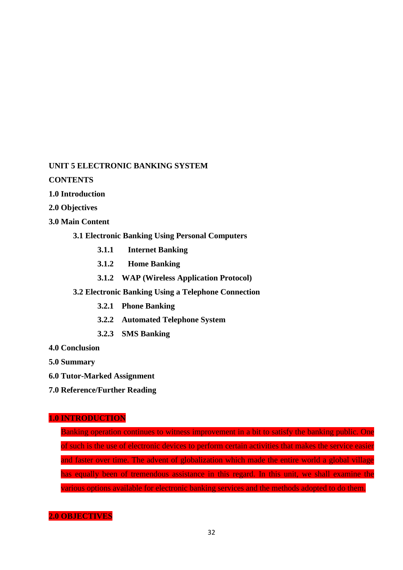## **UNIT 5 ELECTRONIC BANKING SYSTEM**

**CONTENTS**

- **1.0 Introduction**
- **2.0 Objectives**
- **3.0 Main Content**
	- **3.1 Electronic Banking Using Personal Computers**
		- **3.1.1 Internet Banking**
		- **3.1.2 Home Banking**
		- **3.1.2 WAP (Wireless Application Protocol)**
	- **3.2 Electronic Banking Using a Telephone Connection**
		- **3.2.1 Phone Banking**
		- **3.2.2 Automated Telephone System**
		- **3.2.3 SMS Banking**
- **4.0 Conclusion**
- **5.0 Summary**
- **6.0 Tutor-Marked Assignment**
- **7.0 Reference/Further Reading**

## **1.0 INTRODUCTION**

Banking operation continues to witness improvement in a bit to satisfy the banking public. One of such is the use of electronic devices to perform certain activities that makes the service easier and faster over time. The advent of globalization which made the entire world a global village has equally been of tremendous assistance in this regard. In this unit, we shall examine the various options available for electronic banking services and the methods adopted to do them.

### **2.0 OBJECTIVES**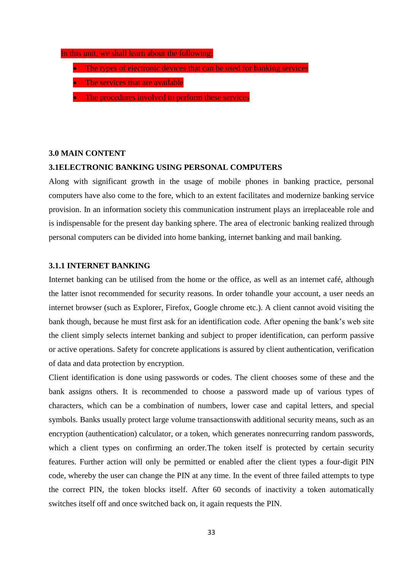#### In this unit, we shall learn about the following:

- The types of electronic devices that can be used for banking services
- The services that are available
- The procedures involved to perform these services

#### **3.0 MAIN CONTENT**

#### **3.1ELECTRONIC BANKING USING PERSONAL COMPUTERS**

Along with significant growth in the usage of mobile phones in banking practice, personal computers have also come to the fore, which to an extent facilitates and modernize banking service provision. In an information society this communication instrument plays an irreplaceable role and is indispensable for the present day banking sphere. The area of electronic banking realized through personal computers can be divided into home banking, internet banking and mail banking.

### **3.1.1 INTERNET BANKING**

Internet banking can be utilised from the home or the office, as well as an internet café, although the latter isnot recommended for security reasons. In order tohandle your account, a user needs an internet browser (such as Explorer, Firefox, Google chrome etc.). A client cannot avoid visiting the bank though, because he must first ask for an identification code. After opening the bank's web site the client simply selects internet banking and subject to proper identification, can perform passive or active operations. Safety for concrete applications is assured by client authentication, verification of data and data protection by encryption.

Client identification is done using passwords or codes. The client chooses some of these and the bank assigns others. It is recommended to choose a password made up of various types of characters, which can be a combination of numbers, lower case and capital letters, and special symbols. Banks usually protect large volume transactionswith additional security means, such as an encryption (authentication) calculator, or a token, which generates nonrecurring random passwords, which a client types on confirming an order. The token itself is protected by certain security features. Further action will only be permitted or enabled after the client types a four-digit PIN code, whereby the user can change the PIN at any time. In the event of three failed attempts to type the correct PIN, the token blocks itself. After 60 seconds of inactivity a token automatically switches itself off and once switched back on, it again requests the PIN.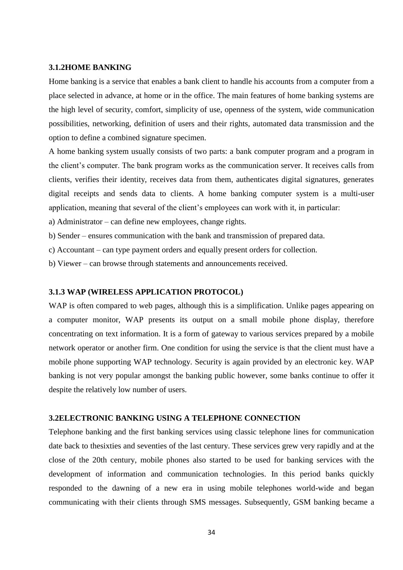#### **3.1.2HOME BANKING**

Home banking is a service that enables a bank client to handle his accounts from a computer from a place selected in advance, at home or in the office. The main features of home banking systems are the high level of security, comfort, simplicity of use, openness of the system, wide communication possibilities, networking, definition of users and their rights, automated data transmission and the option to define a combined signature specimen.

A home banking system usually consists of two parts: a bank computer program and a program in the client's computer. The bank program works as the communication server. It receives calls from clients, verifies their identity, receives data from them, authenticates digital signatures, generates digital receipts and sends data to clients. A home banking computer system is a multi-user application, meaning that several of the client's employees can work with it, in particular:

a) Administrator – can define new employees, change rights.

b) Sender – ensures communication with the bank and transmission of prepared data.

c) Accountant – can type payment orders and equally present orders for collection.

b) Viewer – can browse through statements and announcements received.

#### **3.1.3 WAP (WIRELESS APPLICATION PROTOCOL)**

WAP is often compared to web pages, although this is a simplification. Unlike pages appearing on a computer monitor, WAP presents its output on a small mobile phone display, therefore concentrating on text information. It is a form of gateway to various services prepared by a mobile network operator or another firm. One condition for using the service is that the client must have a mobile phone supporting WAP technology. Security is again provided by an electronic key. WAP banking is not very popular amongst the banking public however, some banks continue to offer it despite the relatively low number of users.

### **3.2ELECTRONIC BANKING USING A TELEPHONE CONNECTION**

Telephone banking and the first banking services using classic telephone lines for communication date back to thesixties and seventies of the last century. These services grew very rapidly and at the close of the 20th century, mobile phones also started to be used for banking services with the development of information and communication technologies. In this period banks quickly responded to the dawning of a new era in using mobile telephones world-wide and began communicating with their clients through SMS messages. Subsequently, GSM banking became a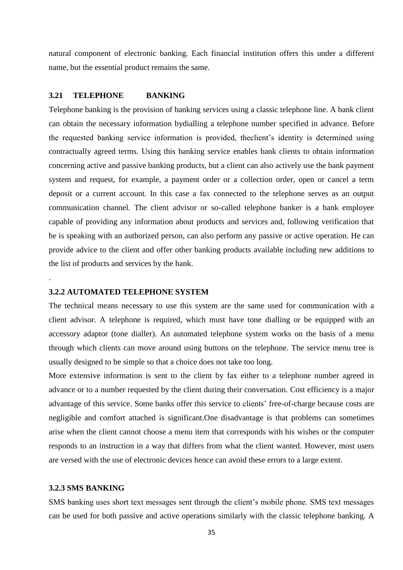natural component of electronic banking. Each financial institution offers this under a different name, but the essential product remains the same.

### **3.21 TELEPHONE BANKING**

Telephone banking is the provision of banking services using a classic telephone line. A bank client can obtain the necessary information bydialling a telephone number specified in advance. Before the requested banking service information is provided, theclient's identity is determined using contractually agreed terms. Using this banking service enables bank clients to obtain information concerning active and passive banking products, but a client can also actively use the bank payment system and request, for example, a payment order or a collection order, open or cancel a term deposit or a current account. In this case a fax connected to the telephone serves as an output communication channel. The client advisor or so-called telephone banker is a bank employee capable of providing any information about products and services and, following verification that he is speaking with an authorized person, can also perform any passive or active operation. He can provide advice to the client and offer other banking products available including new additions to the list of products and services by the bank.

### **3.2.2 AUTOMATED TELEPHONE SYSTEM**

The technical means necessary to use this system are the same used for communication with a client advisor. A telephone is required, which must have tone dialling or be equipped with an accessory adaptor (tone dialler). An automated telephone system works on the basis of a menu through which clients can move around using buttons on the telephone. The service menu tree is usually designed to be simple so that a choice does not take too long.

More extensive information is sent to the client by fax either to a telephone number agreed in advance or to a number requested by the client during their conversation. Cost efficiency is a major advantage of this service. Some banks offer this service to clients' free-of-charge because costs are negligible and comfort attached is significant.One disadvantage is that problems can sometimes arise when the client cannot choose a menu item that corresponds with his wishes or the computer responds to an instruction in a way that differs from what the client wanted. However, most users are versed with the use of electronic devices hence can avoid these errors to a large extent.

#### **3.2.3 SMS BANKING**

.

SMS banking uses short text messages sent through the client's mobile phone. SMS text messages can be used for both passive and active operations similarly with the classic telephone banking. A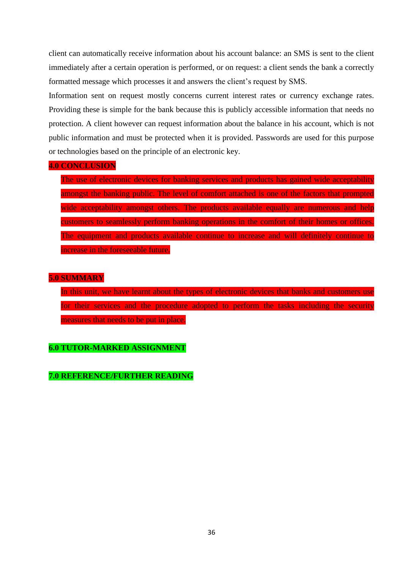client can automatically receive information about his account balance: an SMS is sent to the client immediately after a certain operation is performed, or on request: a client sends the bank a correctly formatted message which processes it and answers the client's request by SMS.

Information sent on request mostly concerns current interest rates or currency exchange rates. Providing these is simple for the bank because this is publicly accessible information that needs no protection. A client however can request information about the balance in his account, which is not public information and must be protected when it is provided. Passwords are used for this purpose or technologies based on the principle of an electronic key.

#### **4.0 CONCLUSION**

The use of electronic devices for banking services and products has gained wide acceptability amongst the banking public. The level of comfort attached is one of the factors that prompted wide acceptability amongst others. The products available equally are numerous and help customers to seamlessly perform banking operations in the comfort of their homes or offices. The equipment and products available continue to increase and will definitely continue to increase in the foreseeable future.

#### **5.0 SUMMARY**

In this unit, we have learnt about the types of electronic devices that banks and customers use for their services and the procedure adopted to perform the tasks including the security measures that needs to be put in place.

### **6.0 TUTOR-MARKED ASSIGNMENT**

**7.0 REFERENCE/FURTHER READING**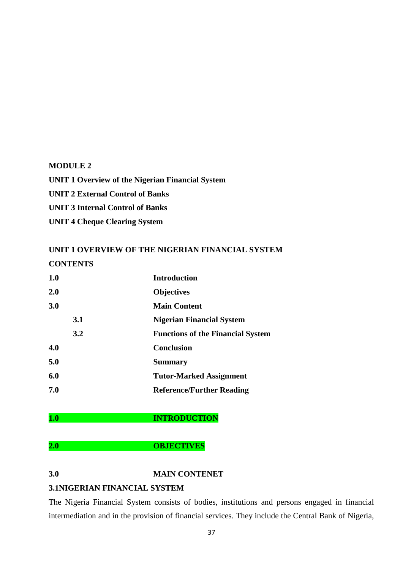#### **MODULE 2**

**UNIT 1 Overview of the Nigerian Financial System UNIT 2 External Control of Banks UNIT 3 Internal Control of Banks UNIT 4 Cheque Clearing System**

### **UNIT 1 OVERVIEW OF THE NIGERIAN FINANCIAL SYSTEM CONTENTS**

| 1.0     |     | <b>Introduction</b>                      |
|---------|-----|------------------------------------------|
| $2.0\,$ |     | <b>Objectives</b>                        |
| 3.0     |     | <b>Main Content</b>                      |
|         | 3.1 | <b>Nigerian Financial System</b>         |
|         | 3.2 | <b>Functions of the Financial System</b> |
| 4.0     |     | <b>Conclusion</b>                        |
| 5.0     |     | <b>Summary</b>                           |
| 6.0     |     | <b>Tutor-Marked Assignment</b>           |
| 7.0     |     | <b>Reference/Further Reading</b>         |

#### **1.0 INTRODUCTION**

**2.0 OBJECTIVES**

### **3.0 MAIN CONTENET**

### **3.1NIGERIAN FINANCIAL SYSTEM**

The Nigeria Financial System consists of bodies, institutions and persons engaged in financial intermediation and in the provision of financial services. They include the Central Bank of Nigeria,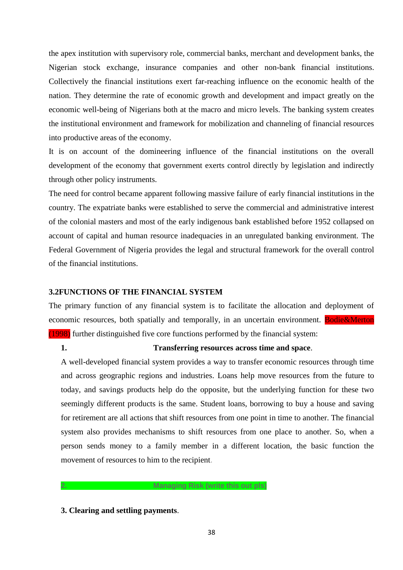the apex institution with supervisory role, commercial banks, merchant and development banks, the Nigerian stock exchange, insurance companies and other non-bank financial institutions. Collectively the financial institutions exert far-reaching influence on the economic health of the nation. They determine the rate of economic growth and development and impact greatly on the economic well-being of Nigerians both at the macro and micro levels. The banking system creates the institutional environment and framework for mobilization and channeling of financial resources into productive areas of the economy.

It is on account of the domineering influence of the financial institutions on the overall development of the economy that government exerts control directly by legislation and indirectly through other policy instruments.

The need for control became apparent following massive failure of early financial institutions in the country. The expatriate banks were established to serve the commercial and administrative interest of the colonial masters and most of the early indigenous bank established before 1952 collapsed on account of capital and human resource inadequacies in an unregulated banking environment. The Federal Government of Nigeria provides the legal and structural framework for the overall control of the financial institutions.

### **3.2FUNCTIONS OF THE FINANCIAL SYSTEM**

The primary function of any financial system is to facilitate the allocation and deployment of economic resources, both spatially and temporally, in an uncertain environment. Bodie&Merton (1998) further distinguished five core functions performed by the financial system:

### **1. Transferring resources across time and space**.

A well-developed financial system provides a way to transfer economic resources through time and across geographic regions and industries. Loans help move resources from the future to today, and savings products help do the opposite, but the underlying function for these two seemingly different products is the same. Student loans, borrowing to buy a house and saving for retirement are all actions that shift resources from one point in time to another. The financial system also provides mechanisms to shift resources from one place to another. So, when a person sends money to a family member in a different location, the basic function the movement of resources to him to the recipient.

**3. Clearing and settling payments**.

**2. Managing Risk (write this out pls)**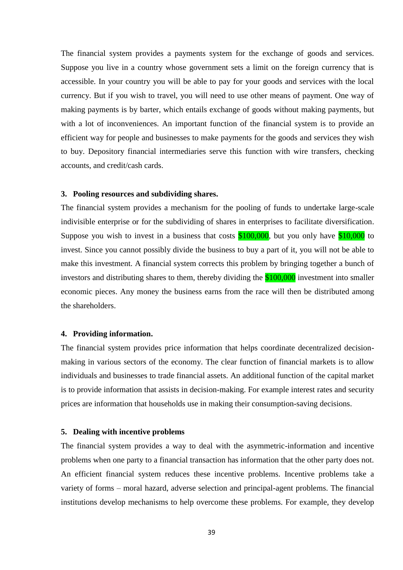The financial system provides a payments system for the exchange of goods and services. Suppose you live in a country whose government sets a limit on the foreign currency that is accessible. In your country you will be able to pay for your goods and services with the local currency. But if you wish to travel, you will need to use other means of payment. One way of making payments is by barter, which entails exchange of goods without making payments, but with a lot of inconveniences. An important function of the financial system is to provide an efficient way for people and businesses to make payments for the goods and services they wish to buy. Depository financial intermediaries serve this function with wire transfers, checking accounts, and credit/cash cards.

#### **3. Pooling resources and subdividing shares.**

The financial system provides a mechanism for the pooling of funds to undertake large-scale indivisible enterprise or for the subdividing of shares in enterprises to facilitate diversification. Suppose you wish to invest in a business that costs  $$100,000$ , but you only have  $$10,000$  to invest. Since you cannot possibly divide the business to buy a part of it, you will not be able to make this investment. A financial system corrects this problem by bringing together a bunch of investors and distributing shares to them, thereby dividing the \$100,000 investment into smaller economic pieces. Any money the business earns from the race will then be distributed among the shareholders.

#### **4. Providing information.**

The financial system provides price information that helps coordinate decentralized decisionmaking in various sectors of the economy. The clear function of financial markets is to allow individuals and businesses to trade financial assets. An additional function of the capital market is to provide information that assists in decision-making. For example interest rates and security prices are information that households use in making their consumption-saving decisions.

#### **5. Dealing with incentive problems**

The financial system provides a way to deal with the asymmetric-information and incentive problems when one party to a financial transaction has information that the other party does not. An efficient financial system reduces these incentive problems. Incentive problems take a variety of forms – moral hazard, adverse selection and principal-agent problems. The financial institutions develop mechanisms to help overcome these problems. For example, they develop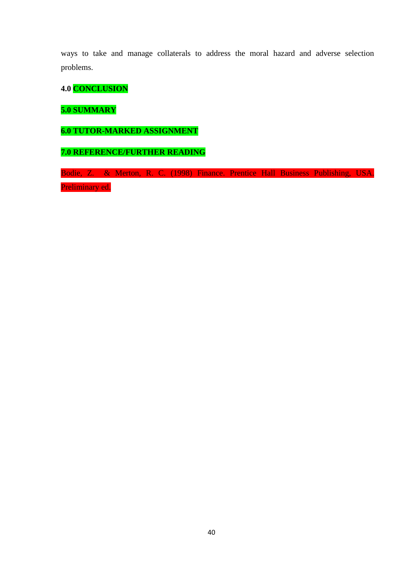ways to take and manage collaterals to address the moral hazard and adverse selection problems.

**4.0 CONCLUSION**

**5.0 SUMMARY**

**6.0 TUTOR-MARKED ASSIGNMENT**

**7.0 REFERENCE/FURTHER READING**

Bodie, Z. & Merton, R. C. (1998) Finance. Prentice Hall Business Publishing, USA. Preliminary ed.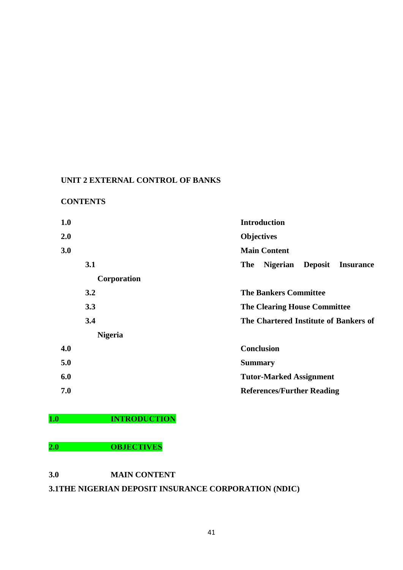### **UNIT 2 EXTERNAL CONTROL OF BANKS**

### **CONTENTS**

| 1.0            | <b>Introduction</b>                                          |
|----------------|--------------------------------------------------------------|
| 2.0            | <b>Objectives</b>                                            |
| 3.0            | <b>Main Content</b>                                          |
| 3.1            | <b>Deposit</b><br>The<br><b>Nigerian</b><br><b>Insurance</b> |
| Corporation    |                                                              |
| 3.2            | <b>The Bankers Committee</b>                                 |
| 3.3            | <b>The Clearing House Committee</b>                          |
| 3.4            | The Chartered Institute of Bankers of                        |
| <b>Nigeria</b> |                                                              |
| 4.0            | <b>Conclusion</b>                                            |
| 5.0            | <b>Summary</b>                                               |
| 6.0            | <b>Tutor-Marked Assignment</b>                               |
| 7.0            | <b>References/Further Reading</b>                            |

### **1.0 INTRODUCTION**

### **2.0 OBJECTIVES**

### **3.0 MAIN CONTENT**

### **3.1THE NIGERIAN DEPOSIT INSURANCE CORPORATION (NDIC)**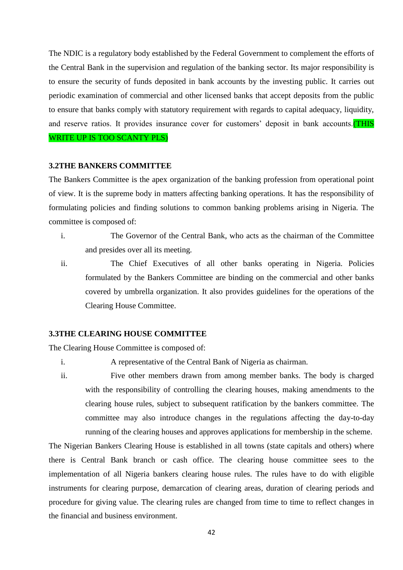The NDIC is a regulatory body established by the Federal Government to complement the efforts of the Central Bank in the supervision and regulation of the banking sector. Its major responsibility is to ensure the security of funds deposited in bank accounts by the investing public. It carries out periodic examination of commercial and other licensed banks that accept deposits from the public to ensure that banks comply with statutory requirement with regards to capital adequacy, liquidity, and reserve ratios. It provides insurance cover for customers' deposit in bank accounts.(THIS WRITE UP IS TOO SCANTY PLS)

#### **3.2THE BANKERS COMMITTEE**

The Bankers Committee is the apex organization of the banking profession from operational point of view. It is the supreme body in matters affecting banking operations. It has the responsibility of formulating policies and finding solutions to common banking problems arising in Nigeria. The committee is composed of:

- i. The Governor of the Central Bank, who acts as the chairman of the Committee and presides over all its meeting.
- ii. The Chief Executives of all other banks operating in Nigeria. Policies formulated by the Bankers Committee are binding on the commercial and other banks covered by umbrella organization. It also provides guidelines for the operations of the Clearing House Committee.

### **3.3THE CLEARING HOUSE COMMITTEE**

The Clearing House Committee is composed of:

- i. A representative of the Central Bank of Nigeria as chairman.
- ii. Five other members drawn from among member banks. The body is charged with the responsibility of controlling the clearing houses, making amendments to the clearing house rules, subject to subsequent ratification by the bankers committee. The committee may also introduce changes in the regulations affecting the day-to-day running of the clearing houses and approves applications for membership in the scheme.

The Nigerian Bankers Clearing House is established in all towns (state capitals and others) where there is Central Bank branch or cash office. The clearing house committee sees to the implementation of all Nigeria bankers clearing house rules. The rules have to do with eligible instruments for clearing purpose, demarcation of clearing areas, duration of clearing periods and procedure for giving value. The clearing rules are changed from time to time to reflect changes in the financial and business environment.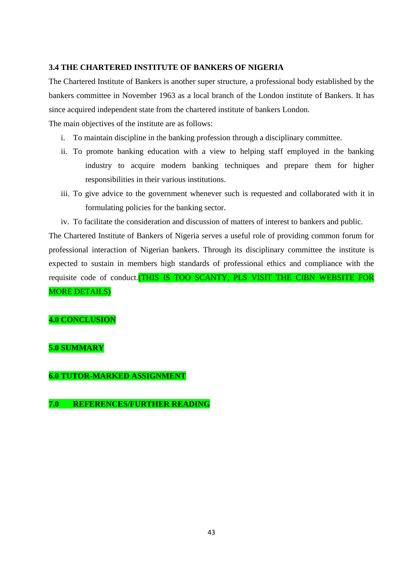### **3.4 THE CHARTERED INSTITUTE OF BANKERS OF NIGERIA**

The Chartered Institute of Bankers is another super structure, a professional body established by the bankers committee in November 1963 as a local branch of the London institute of Bankers. It has since acquired independent state from the chartered institute of bankers London.

The main objectives of the institute are as follows:

- i. To maintain discipline in the banking profession through a disciplinary committee.
- ii. To promote banking education with a view to helping staff employed in the banking industry to acquire modern banking techniques and prepare them for higher responsibilities in their various institutions.
- iii. To give advice to the government whenever such is requested and collaborated with it in formulating policies for the banking sector.
- iv. To facilitate the consideration and discussion of matters of interest to bankers and public.

The Chartered Institute of Bankers of Nigeria serves a useful role of providing common forum for professional interaction of Nigerian bankers. Through its disciplinary committee the institute is expected to sustain in members high standards of professional ethics and compliance with the requisite code of conduct.(THIS IS TOO SCANTY, PLS VISIT THE CIBN WEBSITE FOR MORE DETAILS)

### **4.0 CONCLUSION**

### **5.0 SUMMARY**

### **6.0 TUTOR-MARKED ASSIGNMENT**

### **7.0 REFERENCES/FURTHER READING**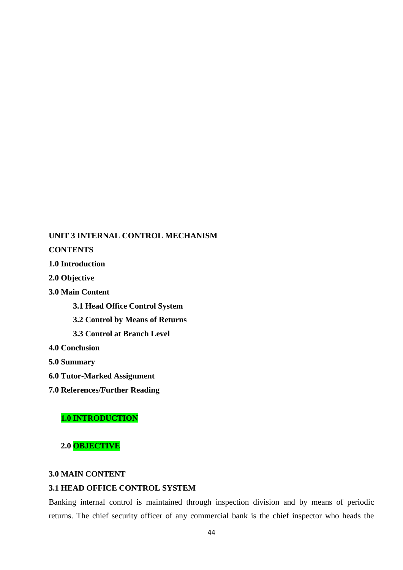### **UNIT 3 INTERNAL CONTROL MECHANISM**

**CONTENTS**

**1.0 Introduction**

**2.0 Objective**

**3.0 Main Content**

**3.1 Head Office Control System**

**3.2 Control by Means of Returns**

**3.3 Control at Branch Level**

**4.0 Conclusion**

**5.0 Summary**

**6.0 Tutor-Marked Assignment**

**7.0 References/Further Reading**

### **1.0 INTRODUCTION**

**2.0 OBJECTIVE**

### **3.0 MAIN CONTENT**

### **3.1 HEAD OFFICE CONTROL SYSTEM**

Banking internal control is maintained through inspection division and by means of periodic returns. The chief security officer of any commercial bank is the chief inspector who heads the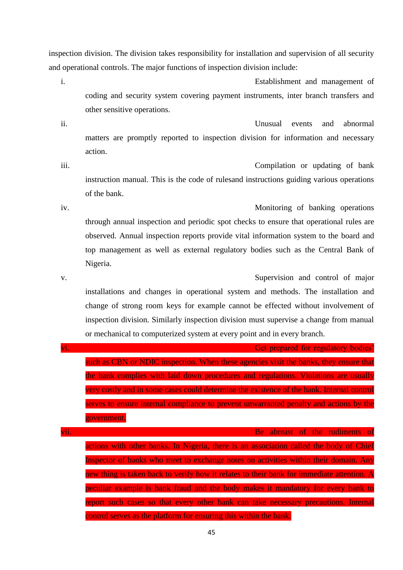inspection division. The division takes responsibility for installation and supervision of all security and operational controls. The major functions of inspection division include:

i. Establishment and management of coding and security system covering payment instruments, inter branch transfers and other sensitive operations.

ii. Unusual events and abnormal matters are promptly reported to inspection division for information and necessary action.

iii. Compilation or updating of bank instruction manual. This is the code of rulesand instructions guiding various operations of the bank.

iv. Monitoring of banking operations through annual inspection and periodic spot checks to ensure that operational rules are observed. Annual inspection reports provide vital information system to the board and top management as well as external regulatory bodies such as the Central Bank of Nigeria.

v. Supervision and control of major installations and changes in operational system and methods. The installation and change of strong room keys for example cannot be effected without involvement of inspection division. Similarly inspection division must supervise a change from manual or mechanical to computerized system at every point and in every branch.

| $\overline{\mathbf{v}}$ i. | Get prepared for regulatory bodies'                                                       |
|----------------------------|-------------------------------------------------------------------------------------------|
|                            | such as CBN or NDIC inspection. When these agencies visit the banks, they ensure that     |
|                            | the bank complies with laid down procedures and regulations. Violations are usually       |
|                            | very costly and in some cases could determine the existence of the bank. Internal control |
|                            | serves to ensure internal compliance to prevent unwarranted penalty and actions by the    |
|                            | government.                                                                               |
| vii.                       | Be abreast of the rudiments of                                                            |
|                            | actions with other banks. In Nigeria, there is an association called the body of Chief    |
|                            | Inspector of banks who meet to exchange notes on activities within their domain. Any      |
|                            | new thing is taken back to verify how it relates to their bank for immediate attention. A |
|                            | peculiar example is bank fraud and the body makes it mandatory for every bank to          |
|                            | report such cases so that every other bank can take necessary precautions. Internal       |
|                            | control serves as the platform for ensuring this within the bank.                         |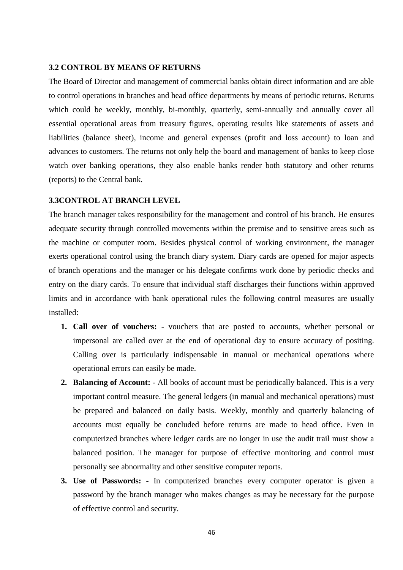#### **3.2 CONTROL BY MEANS OF RETURNS**

The Board of Director and management of commercial banks obtain direct information and are able to control operations in branches and head office departments by means of periodic returns. Returns which could be weekly, monthly, bi-monthly, quarterly, semi-annually and annually cover all essential operational areas from treasury figures, operating results like statements of assets and liabilities (balance sheet), income and general expenses (profit and loss account) to loan and advances to customers. The returns not only help the board and management of banks to keep close watch over banking operations, they also enable banks render both statutory and other returns (reports) to the Central bank.

### **3.3CONTROL AT BRANCH LEVEL**

The branch manager takes responsibility for the management and control of his branch. He ensures adequate security through controlled movements within the premise and to sensitive areas such as the machine or computer room. Besides physical control of working environment, the manager exerts operational control using the branch diary system. Diary cards are opened for major aspects of branch operations and the manager or his delegate confirms work done by periodic checks and entry on the diary cards. To ensure that individual staff discharges their functions within approved limits and in accordance with bank operational rules the following control measures are usually installed:

- **1. Call over of vouchers: -** vouchers that are posted to accounts, whether personal or impersonal are called over at the end of operational day to ensure accuracy of positing. Calling over is particularly indispensable in manual or mechanical operations where operational errors can easily be made.
- **2. Balancing of Account: -** All books of account must be periodically balanced. This is a very important control measure. The general ledgers (in manual and mechanical operations) must be prepared and balanced on daily basis. Weekly, monthly and quarterly balancing of accounts must equally be concluded before returns are made to head office. Even in computerized branches where ledger cards are no longer in use the audit trail must show a balanced position. The manager for purpose of effective monitoring and control must personally see abnormality and other sensitive computer reports.
- **3. Use of Passwords: -** In computerized branches every computer operator is given a password by the branch manager who makes changes as may be necessary for the purpose of effective control and security.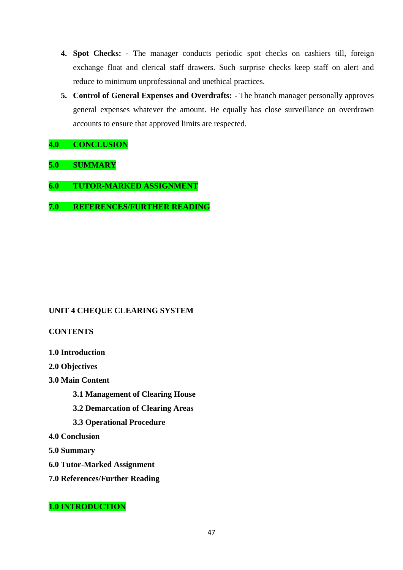- **4. Spot Checks: -** The manager conducts periodic spot checks on cashiers till, foreign exchange float and clerical staff drawers. Such surprise checks keep staff on alert and reduce to minimum unprofessional and unethical practices.
- **5. Control of General Expenses and Overdrafts: -** The branch manager personally approves general expenses whatever the amount. He equally has close surveillance on overdrawn accounts to ensure that approved limits are respected.

### **4.0 CONCLUSION**

### **5.0 SUMMARY**

- **6.0 TUTOR-MARKED ASSIGNMENT**
- **7.0 REFERENCES/FURTHER READING**

### **UNIT 4 CHEQUE CLEARING SYSTEM**

### **CONTENTS**

- **1.0 Introduction**
- **2.0 Objectives**
- **3.0 Main Content**
	- **3.1 Management of Clearing House**
	- **3.2 Demarcation of Clearing Areas**
	- **3.3 Operational Procedure**
- **4.0 Conclusion**
- **5.0 Summary**
- **6.0 Tutor-Marked Assignment**
- **7.0 References/Further Reading**

### **1.0 INTRODUCTION**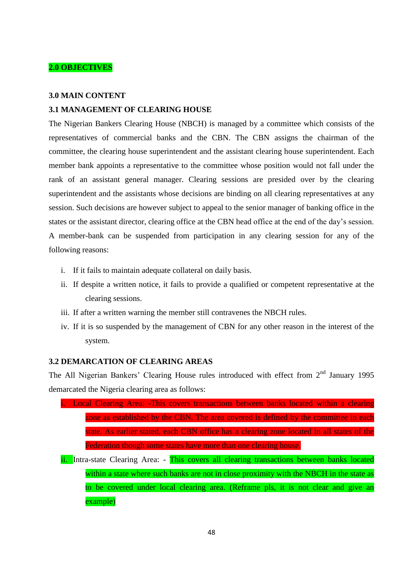### **2.0 OBJECTIVES**

### **3.0 MAIN CONTENT**

### **3.1 MANAGEMENT OF CLEARING HOUSE**

The Nigerian Bankers Clearing House (NBCH) is managed by a committee which consists of the representatives of commercial banks and the CBN. The CBN assigns the chairman of the committee, the clearing house superintendent and the assistant clearing house superintendent. Each member bank appoints a representative to the committee whose position would not fall under the rank of an assistant general manager. Clearing sessions are presided over by the clearing superintendent and the assistants whose decisions are binding on all clearing representatives at any session. Such decisions are however subject to appeal to the senior manager of banking office in the states or the assistant director, clearing office at the CBN head office at the end of the day's session. A member-bank can be suspended from participation in any clearing session for any of the following reasons:

- i. If it fails to maintain adequate collateral on daily basis.
- ii. If despite a written notice, it fails to provide a qualified or competent representative at the clearing sessions.
- iii. If after a written warning the member still contravenes the NBCH rules.
- iv. If it is so suspended by the management of CBN for any other reason in the interest of the system.

### **3.2 DEMARCATION OF CLEARING AREAS**

The All Nigerian Bankers' Clearing House rules introduced with effect from 2<sup>nd</sup> January 1995 demarcated the Nigeria clearing area as follows:

- Local Clearing Area: -This covers transactions between banks located within a clearing zone as established by the CBN. The area covered is defined by the committee in each state. As earlier stated, each CBN office has a clearing zone located in all states of the Federation though some states have more than one clearing house.
- ii. Intra-state Clearing Area: This covers all clearing transactions between banks located within a state where such banks are not in close proximity with the NBCH in the state as to be covered under local clearing area. (Reframe pls, it is not clear and give an example)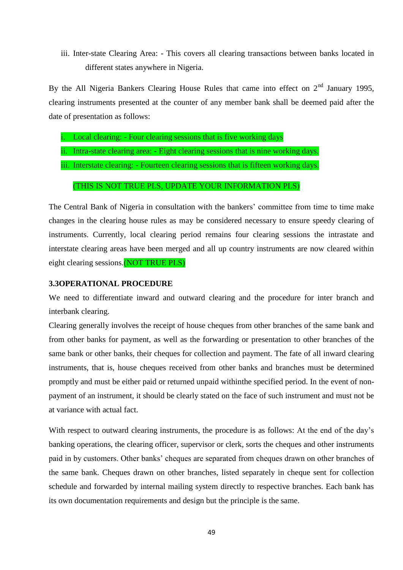iii. Inter-state Clearing Area: - This covers all clearing transactions between banks located in different states anywhere in Nigeria.

By the All Nigeria Bankers Clearing House Rules that came into effect on  $2<sup>nd</sup>$  January 1995, clearing instruments presented at the counter of any member bank shall be deemed paid after the date of presentation as follows:

- Local clearing: Four clearing sessions that is five working days
- ii. Intra-state clearing area: Eight clearing sessions that is nine working days.
- iii. Interstate clearing: Fourteen clearing sessions that is fifteen working days.

#### (THIS IS NOT TRUE PLS, UPDATE YOUR INFORMATION PLS)

The Central Bank of Nigeria in consultation with the bankers' committee from time to time make changes in the clearing house rules as may be considered necessary to ensure speedy clearing of instruments. Currently, local clearing period remains four clearing sessions the intrastate and interstate clearing areas have been merged and all up country instruments are now cleared within eight clearing sessions.(NOT TRUE PLS)

### **3.3OPERATIONAL PROCEDURE**

We need to differentiate inward and outward clearing and the procedure for inter branch and interbank clearing.

Clearing generally involves the receipt of house cheques from other branches of the same bank and from other banks for payment, as well as the forwarding or presentation to other branches of the same bank or other banks, their cheques for collection and payment. The fate of all inward clearing instruments, that is, house cheques received from other banks and branches must be determined promptly and must be either paid or returned unpaid withinthe specified period. In the event of nonpayment of an instrument, it should be clearly stated on the face of such instrument and must not be at variance with actual fact.

With respect to outward clearing instruments, the procedure is as follows: At the end of the day's banking operations, the clearing officer, supervisor or clerk, sorts the cheques and other instruments paid in by customers. Other banks' cheques are separated from cheques drawn on other branches of the same bank. Cheques drawn on other branches, listed separately in cheque sent for collection schedule and forwarded by internal mailing system directly to respective branches. Each bank has its own documentation requirements and design but the principle is the same.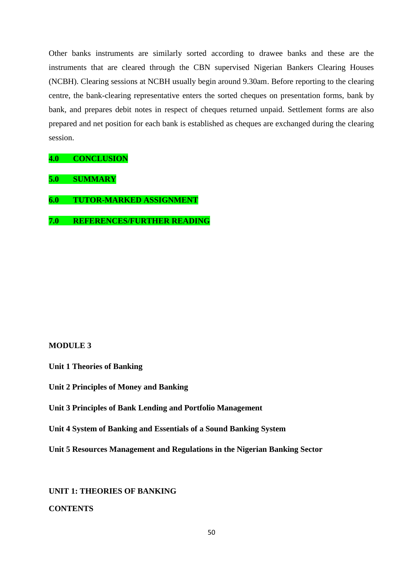Other banks instruments are similarly sorted according to drawee banks and these are the instruments that are cleared through the CBN supervised Nigerian Bankers Clearing Houses (NCBH). Clearing sessions at NCBH usually begin around 9.30am. Before reporting to the clearing centre, the bank-clearing representative enters the sorted cheques on presentation forms, bank by bank, and prepares debit notes in respect of cheques returned unpaid. Settlement forms are also prepared and net position for each bank is established as cheques are exchanged during the clearing session.

**4.0 CONCLUSION**

**5.0 SUMMARY**

**6.0 TUTOR-MARKED ASSIGNMENT**

**7.0 REFERENCES/FURTHER READING**

### **MODULE 3**

**Unit 1 Theories of Banking**

**Unit 2 Principles of Money and Banking**

**Unit 3 Principles of Bank Lending and Portfolio Management**

**Unit 4 System of Banking and Essentials of a Sound Banking System**

**Unit 5 Resources Management and Regulations in the Nigerian Banking Sector**

**UNIT 1: THEORIES OF BANKING**

**CONTENTS**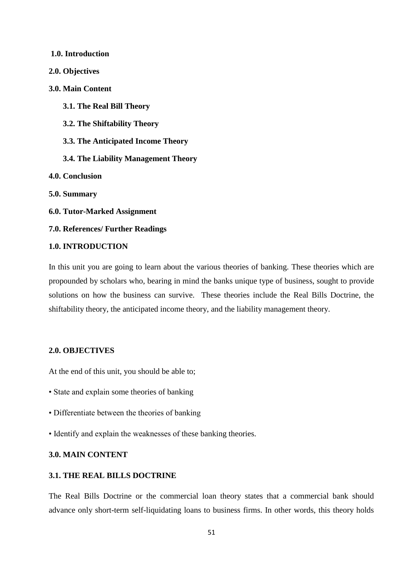# **1.0. Introduction 2.0. Objectives 3.0. Main Content 3.1. The Real Bill Theory 3.2. The Shiftability Theory 3.3. The Anticipated Income Theory 3.4. The Liability Management Theory 4.0. Conclusion 5.0. Summary 6.0. Tutor-Marked Assignment 7.0. References/ Further Readings 1.0. INTRODUCTION**

In this unit you are going to learn about the various theories of banking. These theories which are propounded by scholars who, bearing in mind the banks unique type of business, sought to provide solutions on how the business can survive. These theories include the Real Bills Doctrine, the shiftability theory, the anticipated income theory, and the liability management theory.

### **2.0. OBJECTIVES**

At the end of this unit, you should be able to;

- State and explain some theories of banking
- Differentiate between the theories of banking
- Identify and explain the weaknesses of these banking theories.

### **3.0. MAIN CONTENT**

#### **3.1. THE REAL BILLS DOCTRINE**

The Real Bills Doctrine or the commercial loan theory states that a commercial bank should advance only short-term self-liquidating loans to business firms. In other words, this theory holds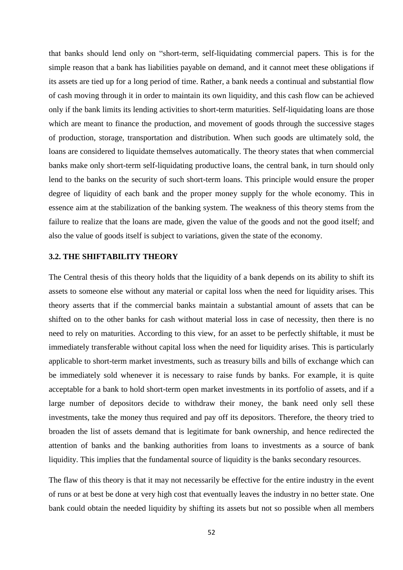that banks should lend only on "short-term, self-liquidating commercial papers. This is for the simple reason that a bank has liabilities payable on demand, and it cannot meet these obligations if its assets are tied up for a long period of time. Rather, a bank needs a continual and substantial flow of cash moving through it in order to maintain its own liquidity, and this cash flow can be achieved only if the bank limits its lending activities to short-term maturities. Self-liquidating loans are those which are meant to finance the production, and movement of goods through the successive stages of production, storage, transportation and distribution. When such goods are ultimately sold, the loans are considered to liquidate themselves automatically. The theory states that when commercial banks make only short-term self-liquidating productive loans, the central bank, in turn should only lend to the banks on the security of such short-term loans. This principle would ensure the proper degree of liquidity of each bank and the proper money supply for the whole economy. This in essence aim at the stabilization of the banking system. The weakness of this theory stems from the failure to realize that the loans are made, given the value of the goods and not the good itself; and also the value of goods itself is subject to variations, given the state of the economy.

### **3.2. THE SHIFTABILITY THEORY**

The Central thesis of this theory holds that the liquidity of a bank depends on its ability to shift its assets to someone else without any material or capital loss when the need for liquidity arises. This theory asserts that if the commercial banks maintain a substantial amount of assets that can be shifted on to the other banks for cash without material loss in case of necessity, then there is no need to rely on maturities. According to this view, for an asset to be perfectly shiftable, it must be immediately transferable without capital loss when the need for liquidity arises. This is particularly applicable to short-term market investments, such as treasury bills and bills of exchange which can be immediately sold whenever it is necessary to raise funds by banks. For example, it is quite acceptable for a bank to hold short-term open market investments in its portfolio of assets, and if a large number of depositors decide to withdraw their money, the bank need only sell these investments, take the money thus required and pay off its depositors. Therefore, the theory tried to broaden the list of assets demand that is legitimate for bank ownership, and hence redirected the attention of banks and the banking authorities from loans to investments as a source of bank liquidity. This implies that the fundamental source of liquidity is the banks secondary resources.

The flaw of this theory is that it may not necessarily be effective for the entire industry in the event of runs or at best be done at very high cost that eventually leaves the industry in no better state. One bank could obtain the needed liquidity by shifting its assets but not so possible when all members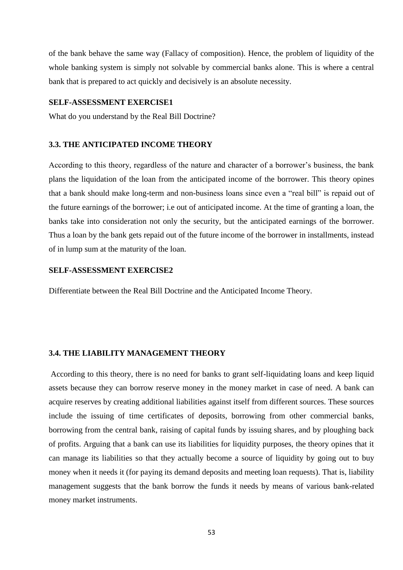of the bank behave the same way (Fallacy of composition). Hence, the problem of liquidity of the whole banking system is simply not solvable by commercial banks alone. This is where a central bank that is prepared to act quickly and decisively is an absolute necessity.

### **SELF-ASSESSMENT EXERCISE1**

What do you understand by the Real Bill Doctrine?

### **3.3. THE ANTICIPATED INCOME THEORY**

According to this theory, regardless of the nature and character of a borrower's business, the bank plans the liquidation of the loan from the anticipated income of the borrower. This theory opines that a bank should make long-term and non-business loans since even a "real bill" is repaid out of the future earnings of the borrower; i.e out of anticipated income. At the time of granting a loan, the banks take into consideration not only the security, but the anticipated earnings of the borrower. Thus a loan by the bank gets repaid out of the future income of the borrower in installments, instead of in lump sum at the maturity of the loan.

### **SELF-ASSESSMENT EXERCISE2**

Differentiate between the Real Bill Doctrine and the Anticipated Income Theory.

### **3.4. THE LIABILITY MANAGEMENT THEORY**

According to this theory, there is no need for banks to grant self-liquidating loans and keep liquid assets because they can borrow reserve money in the money market in case of need. A bank can acquire reserves by creating additional liabilities against itself from different sources. These sources include the issuing of time certificates of deposits, borrowing from other commercial banks, borrowing from the central bank, raising of capital funds by issuing shares, and by ploughing back of profits. Arguing that a bank can use its liabilities for liquidity purposes, the theory opines that it can manage its liabilities so that they actually become a source of liquidity by going out to buy money when it needs it (for paying its demand deposits and meeting loan requests). That is, liability management suggests that the bank borrow the funds it needs by means of various bank-related money market instruments.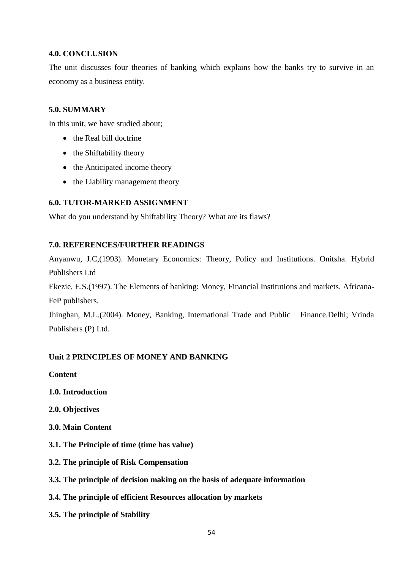### **4.0. CONCLUSION**

The unit discusses four theories of banking which explains how the banks try to survive in an economy as a business entity.

### **5.0. SUMMARY**

In this unit, we have studied about;

- the Real bill doctrine
- $\bullet$  the Shiftability theory
- the Anticipated income theory
- the Liability management theory

### **6.0. TUTOR-MARKED ASSIGNMENT**

What do you understand by Shiftability Theory? What are its flaws?

### **7.0. REFERENCES/FURTHER READINGS**

Anyanwu, J.C,(1993). Monetary Economics: Theory, Policy and Institutions. Onitsha. Hybrid Publishers Ltd

Ekezie, E.S.(1997). The Elements of banking: Money, Financial Institutions and markets. Africana-FeP publishers.

Jhinghan, M.L.(2004). Money, Banking, International Trade and Public Finance.Delhi; Vrinda Publishers (P) Ltd.

### **Unit 2 PRINCIPLES OF MONEY AND BANKING**

**Content** 

- **1.0. Introduction**
- **2.0. Objectives**
- **3.0. Main Content**
- **3.1. The Principle of time (time has value)**
- **3.2. The principle of Risk Compensation**
- **3.3. The principle of decision making on the basis of adequate information**
- **3.4. The principle of efficient Resources allocation by markets**
- **3.5. The principle of Stability**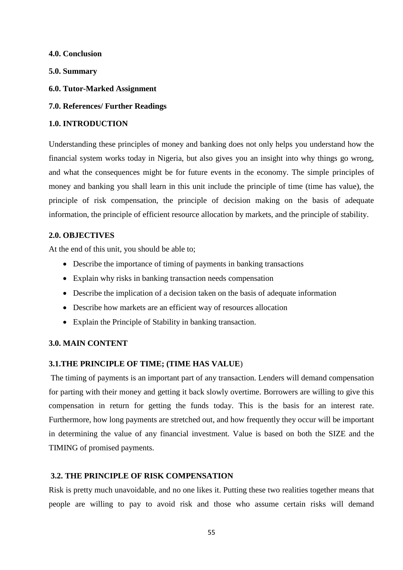**4.0. Conclusion** 

**5.0. Summary** 

- **6.0. Tutor-Marked Assignment**
- **7.0. References/ Further Readings**

### **1.0. INTRODUCTION**

Understanding these principles of money and banking does not only helps you understand how the financial system works today in Nigeria, but also gives you an insight into why things go wrong, and what the consequences might be for future events in the economy. The simple principles of money and banking you shall learn in this unit include the principle of time (time has value), the principle of risk compensation, the principle of decision making on the basis of adequate information, the principle of efficient resource allocation by markets, and the principle of stability.

### **2.0. OBJECTIVES**

At the end of this unit, you should be able to;

- Describe the importance of timing of payments in banking transactions
- Explain why risks in banking transaction needs compensation
- Describe the implication of a decision taken on the basis of adequate information
- Describe how markets are an efficient way of resources allocation
- Explain the Principle of Stability in banking transaction.

### **3.0. MAIN CONTENT**

### **3.1.THE PRINCIPLE OF TIME; (TIME HAS VALUE**)

The timing of payments is an important part of any transaction. Lenders will demand compensation for parting with their money and getting it back slowly overtime. Borrowers are willing to give this compensation in return for getting the funds today. This is the basis for an interest rate. Furthermore, how long payments are stretched out, and how frequently they occur will be important in determining the value of any financial investment. Value is based on both the SIZE and the TIMING of promised payments.

### **3.2. THE PRINCIPLE OF RISK COMPENSATION**

Risk is pretty much unavoidable, and no one likes it. Putting these two realities together means that people are willing to pay to avoid risk and those who assume certain risks will demand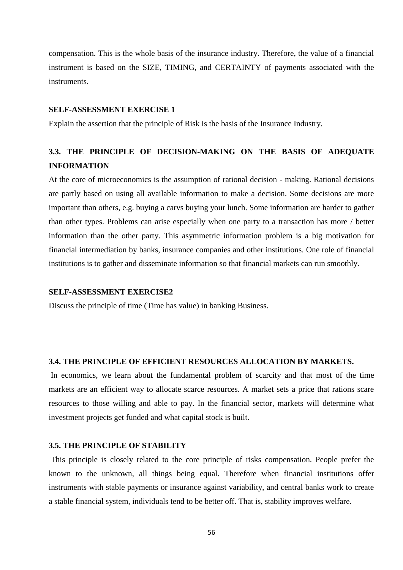compensation. This is the whole basis of the insurance industry. Therefore, the value of a financial instrument is based on the SIZE, TIMING, and CERTAINTY of payments associated with the instruments.

### **SELF-ASSESSMENT EXERCISE 1**

Explain the assertion that the principle of Risk is the basis of the Insurance Industry.

### **3.3. THE PRINCIPLE OF DECISION-MAKING ON THE BASIS OF ADEQUATE INFORMATION**

At the core of microeconomics is the assumption of rational decision - making. Rational decisions are partly based on using all available information to make a decision. Some decisions are more important than others, e.g. buying a carvs buying your lunch. Some information are harder to gather than other types. Problems can arise especially when one party to a transaction has more / better information than the other party. This asymmetric information problem is a big motivation for financial intermediation by banks, insurance companies and other institutions. One role of financial institutions is to gather and disseminate information so that financial markets can run smoothly.

#### **SELF-ASSESSMENT EXERCISE2**

Discuss the principle of time (Time has value) in banking Business.

### **3.4. THE PRINCIPLE OF EFFICIENT RESOURCES ALLOCATION BY MARKETS.**

In economics, we learn about the fundamental problem of scarcity and that most of the time markets are an efficient way to allocate scarce resources. A market sets a price that rations scare resources to those willing and able to pay. In the financial sector, markets will determine what investment projects get funded and what capital stock is built.

### **3.5. THE PRINCIPLE OF STABILITY**

This principle is closely related to the core principle of risks compensation. People prefer the known to the unknown, all things being equal. Therefore when financial institutions offer instruments with stable payments or insurance against variability, and central banks work to create a stable financial system, individuals tend to be better off. That is, stability improves welfare.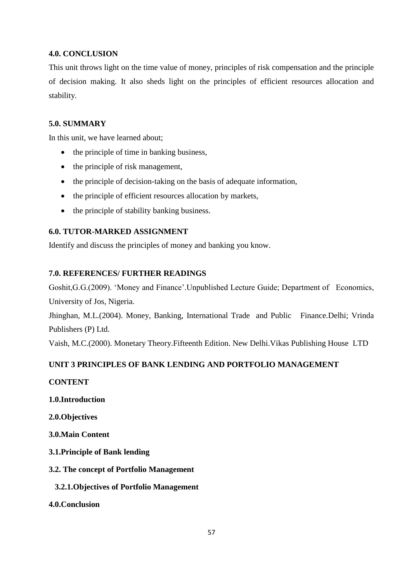### **4.0. CONCLUSION**

This unit throws light on the time value of money, principles of risk compensation and the principle of decision making. It also sheds light on the principles of efficient resources allocation and stability.

### **5.0. SUMMARY**

In this unit, we have learned about;

- the principle of time in banking business,
- $\bullet$  the principle of risk management,
- the principle of decision-taking on the basis of adequate information,
- the principle of efficient resources allocation by markets,
- the principle of stability banking business.

### **6.0. TUTOR-MARKED ASSIGNMENT**

Identify and discuss the principles of money and banking you know.

### **7.0. REFERENCES/ FURTHER READINGS**

Goshit,G.G.(2009). 'Money and Finance'.Unpublished Lecture Guide; Department of Economics, University of Jos, Nigeria.

Jhinghan, M.L.(2004). Money, Banking, International Trade and Public Finance.Delhi; Vrinda Publishers (P) Ltd.

Vaish, M.C.(2000). Monetary Theory.Fifteenth Edition. New Delhi.Vikas Publishing House LTD

### **UNIT 3 PRINCIPLES OF BANK LENDING AND PORTFOLIO MANAGEMENT**

### **CONTENT**

- **1.0.Introduction**
- **2.0.Objectives**
- **3.0.Main Content**
- **3.1.Principle of Bank lending**
- **3.2. The concept of Portfolio Management** 
	- **3.2.1.Objectives of Portfolio Management**
- **4.0.Conclusion**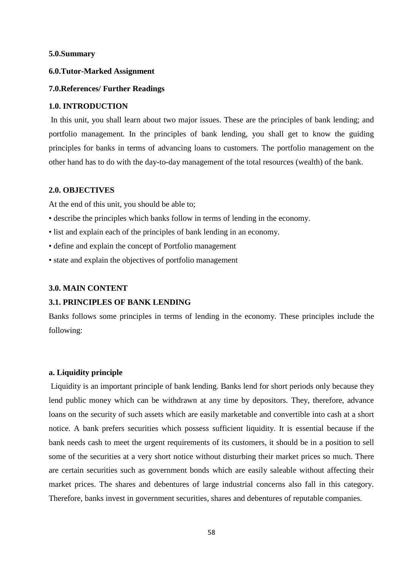#### **5.0.Summary**

### **6.0.Tutor-Marked Assignment**

#### **7.0.References/ Further Readings**

#### **1.0. INTRODUCTION**

In this unit, you shall learn about two major issues. These are the principles of bank lending; and portfolio management. In the principles of bank lending, you shall get to know the guiding principles for banks in terms of advancing loans to customers. The portfolio management on the other hand has to do with the day-to-day management of the total resources (wealth) of the bank.

### **2.0. OBJECTIVES**

At the end of this unit, you should be able to;

- describe the principles which banks follow in terms of lending in the economy.
- list and explain each of the principles of bank lending in an economy.
- define and explain the concept of Portfolio management
- state and explain the objectives of portfolio management

#### **3.0. MAIN CONTENT**

#### **3.1. PRINCIPLES OF BANK LENDING**

Banks follows some principles in terms of lending in the economy. These principles include the following:

#### **a. Liquidity principle**

Liquidity is an important principle of bank lending. Banks lend for short periods only because they lend public money which can be withdrawn at any time by depositors. They, therefore, advance loans on the security of such assets which are easily marketable and convertible into cash at a short notice. A bank prefers securities which possess sufficient liquidity. It is essential because if the bank needs cash to meet the urgent requirements of its customers, it should be in a position to sell some of the securities at a very short notice without disturbing their market prices so much. There are certain securities such as government bonds which are easily saleable without affecting their market prices. The shares and debentures of large industrial concerns also fall in this category. Therefore, banks invest in government securities, shares and debentures of reputable companies.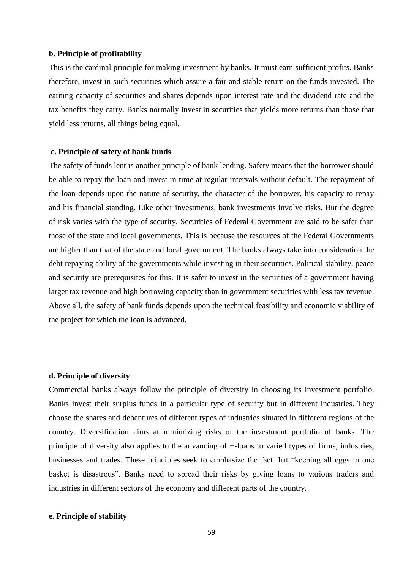#### **b. Principle of profitability**

This is the cardinal principle for making investment by banks. It must earn sufficient profits. Banks therefore, invest in such securities which assure a fair and stable return on the funds invested. The earning capacity of securities and shares depends upon interest rate and the dividend rate and the tax benefits they carry. Banks normally invest in securities that yields more returns than those that yield less returns, all things being equal.

#### **c. Principle of safety of bank funds**

The safety of funds lent is another principle of bank lending. Safety means that the borrower should be able to repay the loan and invest in time at regular intervals without default. The repayment of the loan depends upon the nature of security, the character of the borrower, his capacity to repay and his financial standing. Like other investments, bank investments involve risks. But the degree of risk varies with the type of security. Securities of Federal Government are said to be safer than those of the state and local governments. This is because the resources of the Federal Governments are higher than that of the state and local government. The banks always take into consideration the debt repaying ability of the governments while investing in their securities. Political stability, peace and security are prerequisites for this. It is safer to invest in the securities of a government having larger tax revenue and high borrowing capacity than in government securities with less tax revenue. Above all, the safety of bank funds depends upon the technical feasibility and economic viability of the project for which the loan is advanced.

#### **d. Principle of diversity**

Commercial banks always follow the principle of diversity in choosing its investment portfolio. Banks invest their surplus funds in a particular type of security but in different industries. They choose the shares and debentures of different types of industries situated in different regions of the country. Diversification aims at minimizing risks of the investment portfolio of banks. The principle of diversity also applies to the advancing of +-loans to varied types of firms, industries, businesses and trades. These principles seek to emphasize the fact that "keeping all eggs in one basket is disastrous". Banks need to spread their risks by giving loans to various traders and industries in different sectors of the economy and different parts of the country.

#### **e. Principle of stability**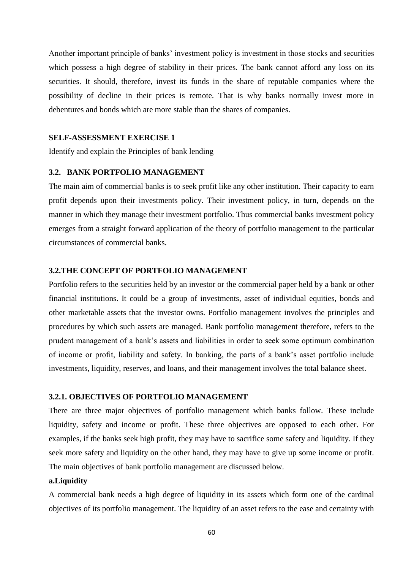Another important principle of banks' investment policy is investment in those stocks and securities which possess a high degree of stability in their prices. The bank cannot afford any loss on its securities. It should, therefore, invest its funds in the share of reputable companies where the possibility of decline in their prices is remote. That is why banks normally invest more in debentures and bonds which are more stable than the shares of companies.

### **SELF-ASSESSMENT EXERCISE 1**

Identify and explain the Principles of bank lending

### **3.2. BANK PORTFOLIO MANAGEMENT**

The main aim of commercial banks is to seek profit like any other institution. Their capacity to earn profit depends upon their investments policy. Their investment policy, in turn, depends on the manner in which they manage their investment portfolio. Thus commercial banks investment policy emerges from a straight forward application of the theory of portfolio management to the particular circumstances of commercial banks.

### **3.2.THE CONCEPT OF PORTFOLIO MANAGEMENT**

Portfolio refers to the securities held by an investor or the commercial paper held by a bank or other financial institutions. It could be a group of investments, asset of individual equities, bonds and other marketable assets that the investor owns. Portfolio management involves the principles and procedures by which such assets are managed. Bank portfolio management therefore, refers to the prudent management of a bank's assets and liabilities in order to seek some optimum combination of income or profit, liability and safety. In banking, the parts of a bank's asset portfolio include investments, liquidity, reserves, and loans, and their management involves the total balance sheet.

### **3.2.1. OBJECTIVES OF PORTFOLIO MANAGEMENT**

There are three major objectives of portfolio management which banks follow. These include liquidity, safety and income or profit. These three objectives are opposed to each other. For examples, if the banks seek high profit, they may have to sacrifice some safety and liquidity. If they seek more safety and liquidity on the other hand, they may have to give up some income or profit. The main objectives of bank portfolio management are discussed below.

### **a.Liquidity**

A commercial bank needs a high degree of liquidity in its assets which form one of the cardinal objectives of its portfolio management. The liquidity of an asset refers to the ease and certainty with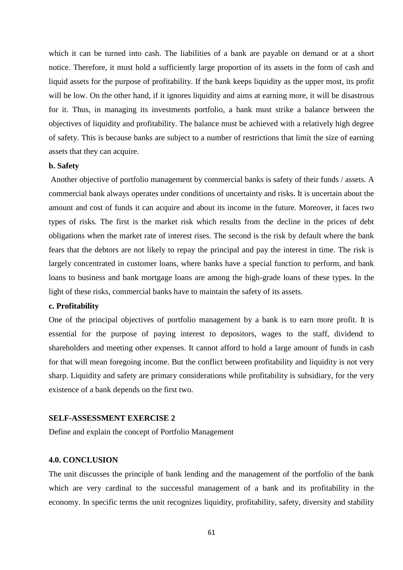which it can be turned into cash. The liabilities of a bank are payable on demand or at a short notice. Therefore, it must hold a sufficiently large proportion of its assets in the form of cash and liquid assets for the purpose of profitability. If the bank keeps liquidity as the upper most, its profit will be low. On the other hand, if it ignores liquidity and aims at earning more, it will be disastrous for it. Thus, in managing its investments portfolio, a bank must strike a balance between the objectives of liquidity and profitability. The balance must be achieved with a relatively high degree of safety. This is because banks are subject to a number of restrictions that limit the size of earning assets that they can acquire.

### **b. Safety**

Another objective of portfolio management by commercial banks is safety of their funds / assets. A commercial bank always operates under conditions of uncertainty and risks. It is uncertain about the amount and cost of funds it can acquire and about its income in the future. Moreover, it faces two types of risks. The first is the market risk which results from the decline in the prices of debt obligations when the market rate of interest rises. The second is the risk by default where the bank fears that the debtors are not likely to repay the principal and pay the interest in time. The risk is largely concentrated in customer loans, where banks have a special function to perform, and bank loans to business and bank mortgage loans are among the high-grade loans of these types. In the light of these risks, commercial banks have to maintain the safety of its assets.

#### **c. Profitability**

One of the principal objectives of portfolio management by a bank is to earn more profit. It is essential for the purpose of paying interest to depositors, wages to the staff, dividend to shareholders and meeting other expenses. It cannot afford to hold a large amount of funds in cash for that will mean foregoing income. But the conflict between profitability and liquidity is not very sharp. Liquidity and safety are primary considerations while profitability is subsidiary, for the very existence of a bank depends on the first two.

### **SELF-ASSESSMENT EXERCISE 2**

Define and explain the concept of Portfolio Management

### **4.0. CONCLUSION**

The unit discusses the principle of bank lending and the management of the portfolio of the bank which are very cardinal to the successful management of a bank and its profitability in the economy. In specific terms the unit recognizes liquidity, profitability, safety, diversity and stability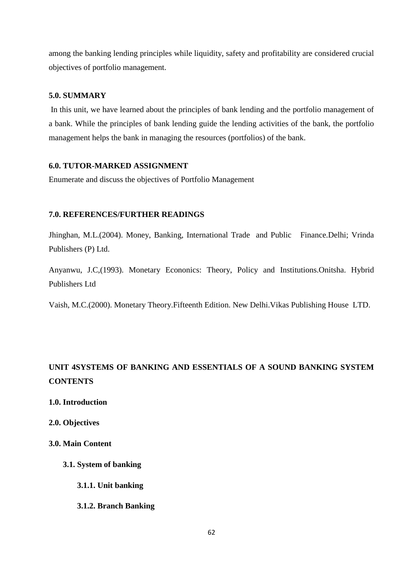among the banking lending principles while liquidity, safety and profitability are considered crucial objectives of portfolio management.

### **5.0. SUMMARY**

In this unit, we have learned about the principles of bank lending and the portfolio management of a bank. While the principles of bank lending guide the lending activities of the bank, the portfolio management helps the bank in managing the resources (portfolios) of the bank.

### **6.0. TUTOR-MARKED ASSIGNMENT**

Enumerate and discuss the objectives of Portfolio Management

### **7.0. REFERENCES/FURTHER READINGS**

Jhinghan, M.L.(2004). Money, Banking, International Trade and Public Finance.Delhi; Vrinda Publishers (P) Ltd.

Anyanwu, J.C,(1993). Monetary Econonics: Theory, Policy and Institutions.Onitsha. Hybrid Publishers Ltd

Vaish, M.C.(2000). Monetary Theory.Fifteenth Edition. New Delhi.Vikas Publishing House LTD.

## **UNIT 4SYSTEMS OF BANKING AND ESSENTIALS OF A SOUND BANKING SYSTEM CONTENTS**

- **1.0. Introduction**
- **2.0. Objectives**
- **3.0. Main Content** 
	- **3.1. System of banking**
		- **3.1.1. Unit banking**
		- **3.1.2. Branch Banking**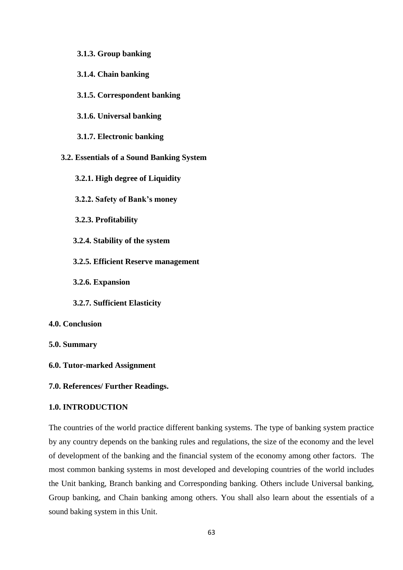### **3.1.3. Group banking**

- **3.1.4. Chain banking**
- **3.1.5. Correspondent banking**
- **3.1.6. Universal banking**
- **3.1.7. Electronic banking**
- **3.2. Essentials of a Sound Banking System**
	- **3.2.1. High degree of Liquidity**
	- **3.2.2. Safety of Bank's money**
	- **3.2.3. Profitability**
	- **3.2.4. Stability of the system**
	- **3.2.5. Efficient Reserve management**
	- **3.2.6. Expansion**
	- **3.2.7. Sufficient Elasticity**
- **4.0. Conclusion**

### **5.0. Summary**

- **6.0. Tutor-marked Assignment**
- **7.0. References/ Further Readings.**

### **1.0. INTRODUCTION**

The countries of the world practice different banking systems. The type of banking system practice by any country depends on the banking rules and regulations, the size of the economy and the level of development of the banking and the financial system of the economy among other factors. The most common banking systems in most developed and developing countries of the world includes the Unit banking, Branch banking and Corresponding banking. Others include Universal banking, Group banking, and Chain banking among others. You shall also learn about the essentials of a sound baking system in this Unit.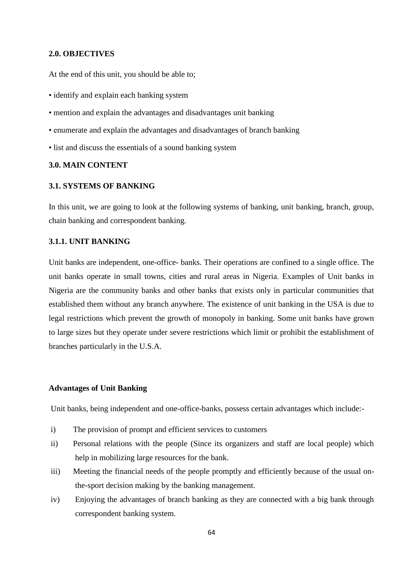### **2.0. OBJECTIVES**

At the end of this unit, you should be able to;

• identify and explain each banking system

• mention and explain the advantages and disadvantages unit banking

• enumerate and explain the advantages and disadvantages of branch banking

• list and discuss the essentials of a sound banking system

### **3.0. MAIN CONTENT**

#### **3.1. SYSTEMS OF BANKING**

In this unit, we are going to look at the following systems of banking, unit banking, branch, group, chain banking and correspondent banking.

### **3.1.1. UNIT BANKING**

Unit banks are independent, one-office- banks. Their operations are confined to a single office. The unit banks operate in small towns, cities and rural areas in Nigeria. Examples of Unit banks in Nigeria are the community banks and other banks that exists only in particular communities that established them without any branch anywhere. The existence of unit banking in the USA is due to legal restrictions which prevent the growth of monopoly in banking. Some unit banks have grown to large sizes but they operate under severe restrictions which limit or prohibit the establishment of branches particularly in the U.S.A.

### **Advantages of Unit Banking**

Unit banks, being independent and one-office-banks, possess certain advantages which include:-

- i) The provision of prompt and efficient services to customers
- ii) Personal relations with the people (Since its organizers and staff are local people) which help in mobilizing large resources for the bank.
- iii) Meeting the financial needs of the people promptly and efficiently because of the usual onthe-sport decision making by the banking management.
- iv) Enjoying the advantages of branch banking as they are connected with a big bank through correspondent banking system.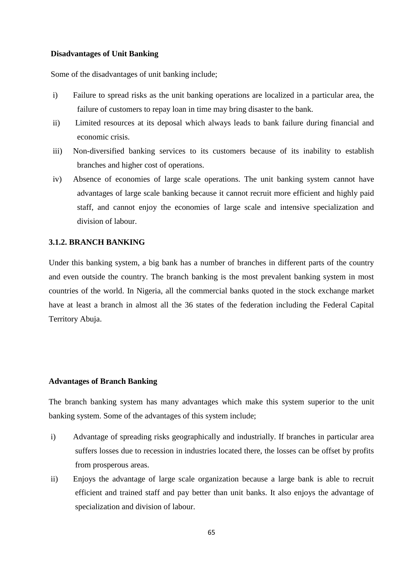#### **Disadvantages of Unit Banking**

Some of the disadvantages of unit banking include;

- i) Failure to spread risks as the unit banking operations are localized in a particular area, the failure of customers to repay loan in time may bring disaster to the bank.
- ii) Limited resources at its deposal which always leads to bank failure during financial and economic crisis.
- iii) Non-diversified banking services to its customers because of its inability to establish branches and higher cost of operations.
- iv) Absence of economies of large scale operations. The unit banking system cannot have advantages of large scale banking because it cannot recruit more efficient and highly paid staff, and cannot enjoy the economies of large scale and intensive specialization and division of labour.

### **3.1.2. BRANCH BANKING**

Under this banking system, a big bank has a number of branches in different parts of the country and even outside the country. The branch banking is the most prevalent banking system in most countries of the world. In Nigeria, all the commercial banks quoted in the stock exchange market have at least a branch in almost all the 36 states of the federation including the Federal Capital Territory Abuja.

#### **Advantages of Branch Banking**

The branch banking system has many advantages which make this system superior to the unit banking system. Some of the advantages of this system include;

- i) Advantage of spreading risks geographically and industrially. If branches in particular area suffers losses due to recession in industries located there, the losses can be offset by profits from prosperous areas.
- ii) Enjoys the advantage of large scale organization because a large bank is able to recruit efficient and trained staff and pay better than unit banks. It also enjoys the advantage of specialization and division of labour.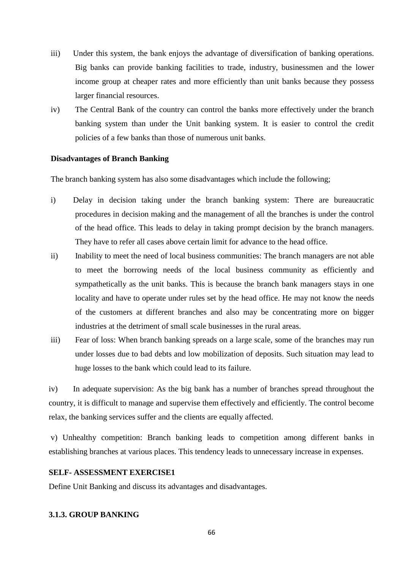- iii) Under this system, the bank enjoys the advantage of diversification of banking operations. Big banks can provide banking facilities to trade, industry, businessmen and the lower income group at cheaper rates and more efficiently than unit banks because they possess larger financial resources.
- iv) The Central Bank of the country can control the banks more effectively under the branch banking system than under the Unit banking system. It is easier to control the credit policies of a few banks than those of numerous unit banks.

### **Disadvantages of Branch Banking**

The branch banking system has also some disadvantages which include the following;

- i) Delay in decision taking under the branch banking system: There are bureaucratic procedures in decision making and the management of all the branches is under the control of the head office. This leads to delay in taking prompt decision by the branch managers. They have to refer all cases above certain limit for advance to the head office.
- ii) Inability to meet the need of local business communities: The branch managers are not able to meet the borrowing needs of the local business community as efficiently and sympathetically as the unit banks. This is because the branch bank managers stays in one locality and have to operate under rules set by the head office. He may not know the needs of the customers at different branches and also may be concentrating more on bigger industries at the detriment of small scale businesses in the rural areas.
- iii) Fear of loss: When branch banking spreads on a large scale, some of the branches may run under losses due to bad debts and low mobilization of deposits. Such situation may lead to huge losses to the bank which could lead to its failure.

iv) In adequate supervision: As the big bank has a number of branches spread throughout the country, it is difficult to manage and supervise them effectively and efficiently. The control become relax, the banking services suffer and the clients are equally affected.

v) Unhealthy competition: Branch banking leads to competition among different banks in establishing branches at various places. This tendency leads to unnecessary increase in expenses.

### **SELF- ASSESSMENT EXERCISE1**

Define Unit Banking and discuss its advantages and disadvantages.

### **3.1.3. GROUP BANKING**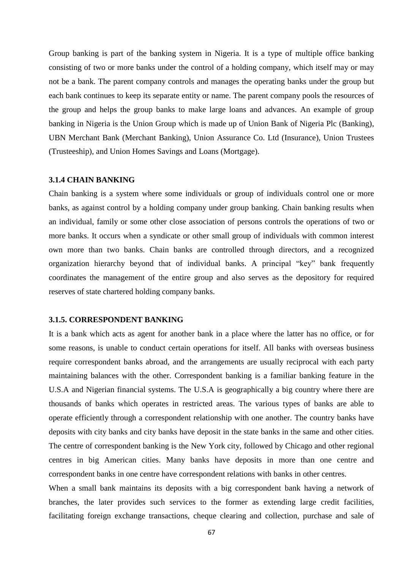Group banking is part of the banking system in Nigeria. It is a type of multiple office banking consisting of two or more banks under the control of a holding company, which itself may or may not be a bank. The parent company controls and manages the operating banks under the group but each bank continues to keep its separate entity or name. The parent company pools the resources of the group and helps the group banks to make large loans and advances. An example of group banking in Nigeria is the Union Group which is made up of Union Bank of Nigeria Plc (Banking), UBN Merchant Bank (Merchant Banking), Union Assurance Co. Ltd (Insurance), Union Trustees (Trusteeship), and Union Homes Savings and Loans (Mortgage).

#### **3.1.4 CHAIN BANKING**

Chain banking is a system where some individuals or group of individuals control one or more banks, as against control by a holding company under group banking. Chain banking results when an individual, family or some other close association of persons controls the operations of two or more banks. It occurs when a syndicate or other small group of individuals with common interest own more than two banks. Chain banks are controlled through directors, and a recognized organization hierarchy beyond that of individual banks. A principal "key" bank frequently coordinates the management of the entire group and also serves as the depository for required reserves of state chartered holding company banks.

#### **3.1.5. CORRESPONDENT BANKING**

It is a bank which acts as agent for another bank in a place where the latter has no office, or for some reasons, is unable to conduct certain operations for itself. All banks with overseas business require correspondent banks abroad, and the arrangements are usually reciprocal with each party maintaining balances with the other. Correspondent banking is a familiar banking feature in the U.S.A and Nigerian financial systems. The U.S.A is geographically a big country where there are thousands of banks which operates in restricted areas. The various types of banks are able to operate efficiently through a correspondent relationship with one another. The country banks have deposits with city banks and city banks have deposit in the state banks in the same and other cities. The centre of correspondent banking is the New York city, followed by Chicago and other regional centres in big American cities. Many banks have deposits in more than one centre and correspondent banks in one centre have correspondent relations with banks in other centres.

When a small bank maintains its deposits with a big correspondent bank having a network of branches, the later provides such services to the former as extending large credit facilities, facilitating foreign exchange transactions, cheque clearing and collection, purchase and sale of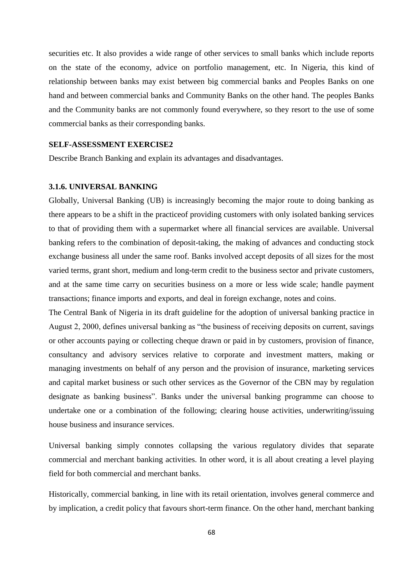securities etc. It also provides a wide range of other services to small banks which include reports on the state of the economy, advice on portfolio management, etc. In Nigeria, this kind of relationship between banks may exist between big commercial banks and Peoples Banks on one hand and between commercial banks and Community Banks on the other hand. The peoples Banks and the Community banks are not commonly found everywhere, so they resort to the use of some commercial banks as their corresponding banks.

### **SELF-ASSESSMENT EXERCISE2**

Describe Branch Banking and explain its advantages and disadvantages.

#### **3.1.6. UNIVERSAL BANKING**

Globally, Universal Banking (UB) is increasingly becoming the major route to doing banking as there appears to be a shift in the practiceof providing customers with only isolated banking services to that of providing them with a supermarket where all financial services are available. Universal banking refers to the combination of deposit-taking, the making of advances and conducting stock exchange business all under the same roof. Banks involved accept deposits of all sizes for the most varied terms, grant short, medium and long-term credit to the business sector and private customers, and at the same time carry on securities business on a more or less wide scale; handle payment transactions; finance imports and exports, and deal in foreign exchange, notes and coins.

The Central Bank of Nigeria in its draft guideline for the adoption of universal banking practice in August 2, 2000, defines universal banking as "the business of receiving deposits on current, savings or other accounts paying or collecting cheque drawn or paid in by customers, provision of finance, consultancy and advisory services relative to corporate and investment matters, making or managing investments on behalf of any person and the provision of insurance, marketing services and capital market business or such other services as the Governor of the CBN may by regulation designate as banking business". Banks under the universal banking programme can choose to undertake one or a combination of the following; clearing house activities, underwriting/issuing house business and insurance services.

Universal banking simply connotes collapsing the various regulatory divides that separate commercial and merchant banking activities. In other word, it is all about creating a level playing field for both commercial and merchant banks.

Historically, commercial banking, in line with its retail orientation, involves general commerce and by implication, a credit policy that favours short-term finance. On the other hand, merchant banking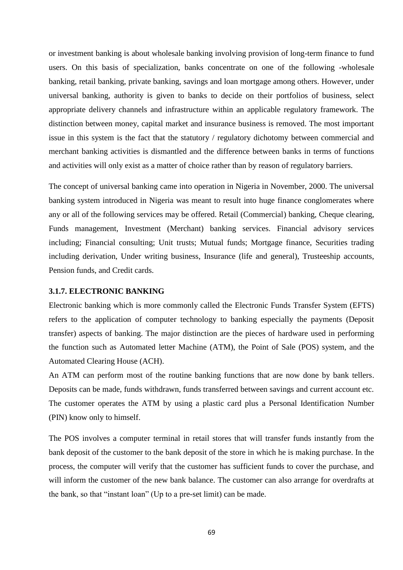or investment banking is about wholesale banking involving provision of long-term finance to fund users. On this basis of specialization, banks concentrate on one of the following -wholesale banking, retail banking, private banking, savings and loan mortgage among others. However, under universal banking, authority is given to banks to decide on their portfolios of business, select appropriate delivery channels and infrastructure within an applicable regulatory framework. The distinction between money, capital market and insurance business is removed. The most important issue in this system is the fact that the statutory / regulatory dichotomy between commercial and merchant banking activities is dismantled and the difference between banks in terms of functions and activities will only exist as a matter of choice rather than by reason of regulatory barriers.

The concept of universal banking came into operation in Nigeria in November, 2000. The universal banking system introduced in Nigeria was meant to result into huge finance conglomerates where any or all of the following services may be offered. Retail (Commercial) banking, Cheque clearing, Funds management, Investment (Merchant) banking services. Financial advisory services including; Financial consulting; Unit trusts; Mutual funds; Mortgage finance, Securities trading including derivation, Under writing business, Insurance (life and general), Trusteeship accounts, Pension funds, and Credit cards.

#### **3.1.7. ELECTRONIC BANKING**

Electronic banking which is more commonly called the Electronic Funds Transfer System (EFTS) refers to the application of computer technology to banking especially the payments (Deposit transfer) aspects of banking. The major distinction are the pieces of hardware used in performing the function such as Automated letter Machine (ATM), the Point of Sale (POS) system, and the Automated Clearing House (ACH).

An ATM can perform most of the routine banking functions that are now done by bank tellers. Deposits can be made, funds withdrawn, funds transferred between savings and current account etc. The customer operates the ATM by using a plastic card plus a Personal Identification Number (PIN) know only to himself.

The POS involves a computer terminal in retail stores that will transfer funds instantly from the bank deposit of the customer to the bank deposit of the store in which he is making purchase. In the process, the computer will verify that the customer has sufficient funds to cover the purchase, and will inform the customer of the new bank balance. The customer can also arrange for overdrafts at the bank, so that "instant loan" (Up to a pre-set limit) can be made.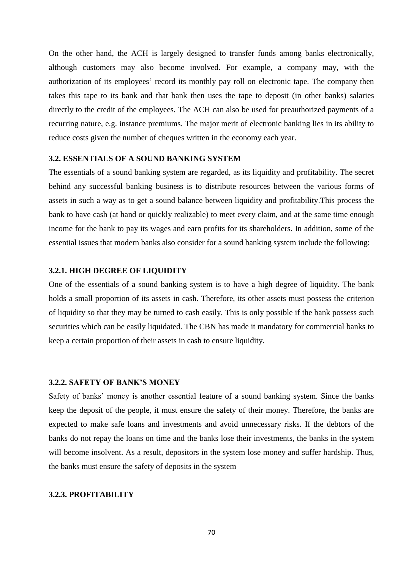On the other hand, the ACH is largely designed to transfer funds among banks electronically, although customers may also become involved. For example, a company may, with the authorization of its employees' record its monthly pay roll on electronic tape. The company then takes this tape to its bank and that bank then uses the tape to deposit (in other banks) salaries directly to the credit of the employees. The ACH can also be used for preauthorized payments of a recurring nature, e.g. instance premiums. The major merit of electronic banking lies in its ability to reduce costs given the number of cheques written in the economy each year.

### **3.2. ESSENTIALS OF A SOUND BANKING SYSTEM**

The essentials of a sound banking system are regarded, as its liquidity and profitability. The secret behind any successful banking business is to distribute resources between the various forms of assets in such a way as to get a sound balance between liquidity and profitability.This process the bank to have cash (at hand or quickly realizable) to meet every claim, and at the same time enough income for the bank to pay its wages and earn profits for its shareholders. In addition, some of the essential issues that modern banks also consider for a sound banking system include the following:

### **3.2.1. HIGH DEGREE OF LIQUIDITY**

One of the essentials of a sound banking system is to have a high degree of liquidity. The bank holds a small proportion of its assets in cash. Therefore, its other assets must possess the criterion of liquidity so that they may be turned to cash easily. This is only possible if the bank possess such securities which can be easily liquidated. The CBN has made it mandatory for commercial banks to keep a certain proportion of their assets in cash to ensure liquidity.

### **3.2.2. SAFETY OF BANK'S MONEY**

Safety of banks' money is another essential feature of a sound banking system. Since the banks keep the deposit of the people, it must ensure the safety of their money. Therefore, the banks are expected to make safe loans and investments and avoid unnecessary risks. If the debtors of the banks do not repay the loans on time and the banks lose their investments, the banks in the system will become insolvent. As a result, depositors in the system lose money and suffer hardship. Thus, the banks must ensure the safety of deposits in the system

### **3.2.3. PROFITABILITY**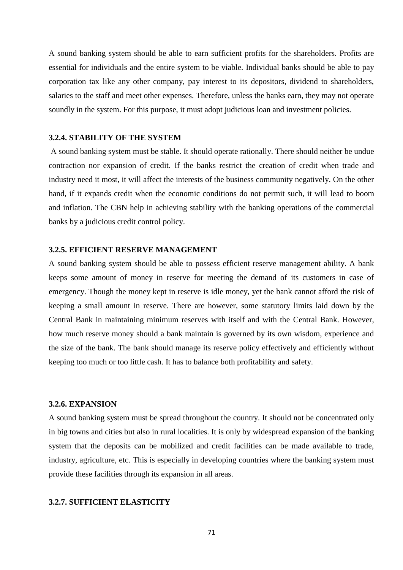A sound banking system should be able to earn sufficient profits for the shareholders. Profits are essential for individuals and the entire system to be viable. Individual banks should be able to pay corporation tax like any other company, pay interest to its depositors, dividend to shareholders, salaries to the staff and meet other expenses. Therefore, unless the banks earn, they may not operate soundly in the system. For this purpose, it must adopt judicious loan and investment policies.

### **3.2.4. STABILITY OF THE SYSTEM**

A sound banking system must be stable. It should operate rationally. There should neither be undue contraction nor expansion of credit. If the banks restrict the creation of credit when trade and industry need it most, it will affect the interests of the business community negatively. On the other hand, if it expands credit when the economic conditions do not permit such, it will lead to boom and inflation. The CBN help in achieving stability with the banking operations of the commercial banks by a judicious credit control policy.

### **3.2.5. EFFICIENT RESERVE MANAGEMENT**

A sound banking system should be able to possess efficient reserve management ability. A bank keeps some amount of money in reserve for meeting the demand of its customers in case of emergency. Though the money kept in reserve is idle money, yet the bank cannot afford the risk of keeping a small amount in reserve. There are however, some statutory limits laid down by the Central Bank in maintaining minimum reserves with itself and with the Central Bank. However, how much reserve money should a bank maintain is governed by its own wisdom, experience and the size of the bank. The bank should manage its reserve policy effectively and efficiently without keeping too much or too little cash. It has to balance both profitability and safety.

### **3.2.6. EXPANSION**

A sound banking system must be spread throughout the country. It should not be concentrated only in big towns and cities but also in rural localities. It is only by widespread expansion of the banking system that the deposits can be mobilized and credit facilities can be made available to trade, industry, agriculture, etc. This is especially in developing countries where the banking system must provide these facilities through its expansion in all areas.

### **3.2.7. SUFFICIENT ELASTICITY**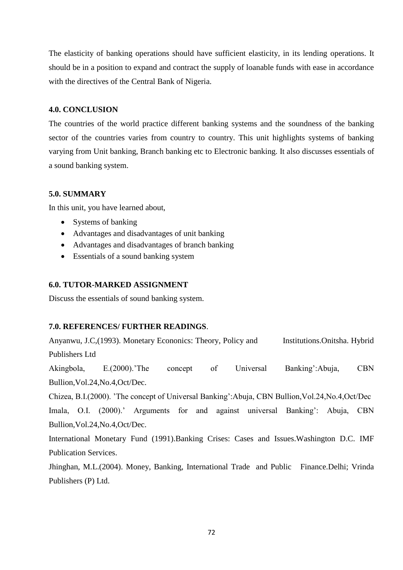The elasticity of banking operations should have sufficient elasticity, in its lending operations. It should be in a position to expand and contract the supply of loanable funds with ease in accordance with the directives of the Central Bank of Nigeria.

### **4.0. CONCLUSION**

The countries of the world practice different banking systems and the soundness of the banking sector of the countries varies from country to country. This unit highlights systems of banking varying from Unit banking, Branch banking etc to Electronic banking. It also discusses essentials of a sound banking system.

### **5.0. SUMMARY**

In this unit, you have learned about,

- Systems of banking
- Advantages and disadvantages of unit banking
- Advantages and disadvantages of branch banking
- Essentials of a sound banking system

### **6.0. TUTOR-MARKED ASSIGNMENT**

Discuss the essentials of sound banking system.

### **7.0. REFERENCES/ FURTHER READINGS**.

Anyanwu, J.C,(1993). Monetary Econonics: Theory, Policy and Institutions.Onitsha. Hybrid Publishers Ltd

Akingbola, E.(2000).'The concept of Universal Banking':Abuja, CBN Bullion,Vol.24,No.4,Oct/Dec.

Chizea, B.I.(2000). 'The concept of Universal Banking':Abuja, CBN Bullion,Vol.24,No.4,Oct/Dec Imala, O.I. (2000).' Arguments for and against universal Banking': Abuja, CBN Bullion,Vol.24,No.4,Oct/Dec.

International Monetary Fund (1991).Banking Crises: Cases and Issues.Washington D.C. IMF Publication Services.

Jhinghan, M.L.(2004). Money, Banking, International Trade and Public Finance.Delhi; Vrinda Publishers (P) Ltd.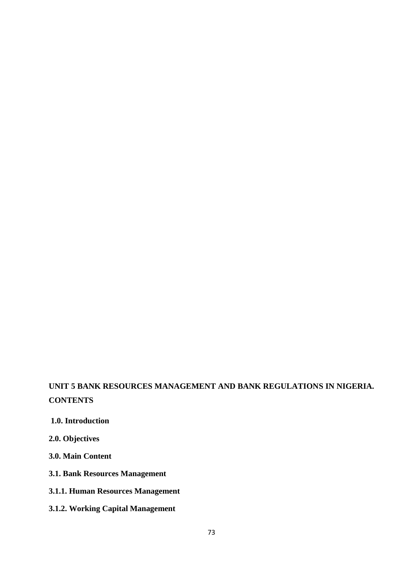# **UNIT 5 BANK RESOURCES MANAGEMENT AND BANK REGULATIONS IN NIGERIA. CONTENTS**

- **1.0. Introduction**
- **2.0. Objectives**
- **3.0. Main Content**
- **3.1. Bank Resources Management**
- **3.1.1. Human Resources Management**
- **3.1.2. Working Capital Management**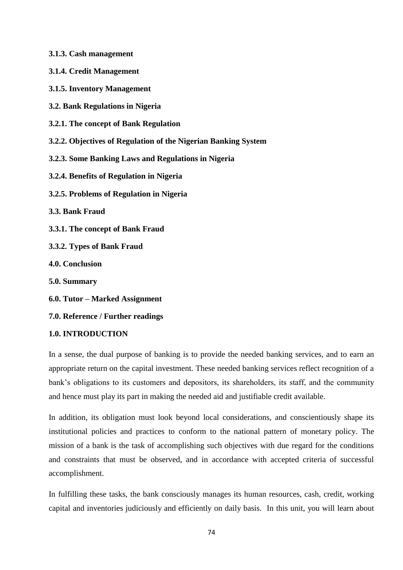- **3.1.3. Cash management**
- **3.1.4. Credit Management**
- **3.1.5. Inventory Management**
- **3.2. Bank Regulations in Nigeria**
- **3.2.1. The concept of Bank Regulation**
- **3.2.2. Objectives of Regulation of the Nigerian Banking System**
- **3.2.3. Some Banking Laws and Regulations in Nigeria**
- **3.2.4. Benefits of Regulation in Nigeria**
- **3.2.5. Problems of Regulation in Nigeria**
- **3.3. Bank Fraud**
- **3.3.1. The concept of Bank Fraud**
- **3.3.2. Types of Bank Fraud**
- **4.0. Conclusion**
- **5.0. Summary**
- **6.0. Tutor – Marked Assignment**
- **7.0. Reference / Further readings**

## **1.0. INTRODUCTION**

In a sense, the dual purpose of banking is to provide the needed banking services, and to earn an appropriate return on the capital investment. These needed banking services reflect recognition of a bank's obligations to its customers and depositors, its shareholders, its staff, and the community and hence must play its part in making the needed aid and justifiable credit available.

In addition, its obligation must look beyond local considerations, and conscientiously shape its institutional policies and practices to conform to the national pattern of monetary policy. The mission of a bank is the task of accomplishing such objectives with due regard for the conditions and constraints that must be observed, and in accordance with accepted criteria of successful accomplishment.

In fulfilling these tasks, the bank consciously manages its human resources, cash, credit, working capital and inventories judiciously and efficiently on daily basis. In this unit, you will learn about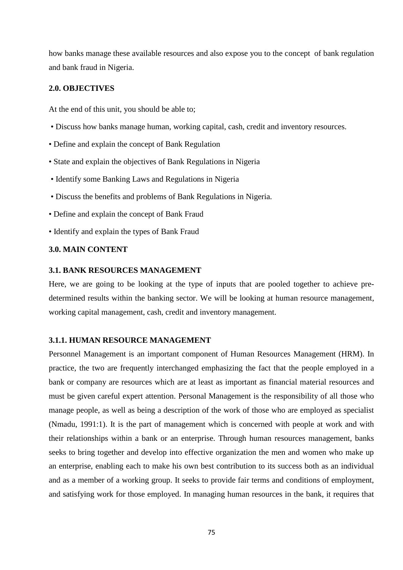how banks manage these available resources and also expose you to the concept of bank regulation and bank fraud in Nigeria.

#### **2.0. OBJECTIVES**

At the end of this unit, you should be able to;

- Discuss how banks manage human, working capital, cash, credit and inventory resources.
- Define and explain the concept of Bank Regulation
- State and explain the objectives of Bank Regulations in Nigeria
- Identify some Banking Laws and Regulations in Nigeria
- Discuss the benefits and problems of Bank Regulations in Nigeria.
- Define and explain the concept of Bank Fraud
- Identify and explain the types of Bank Fraud

## **3.0. MAIN CONTENT**

#### **3.1. BANK RESOURCES MANAGEMENT**

Here, we are going to be looking at the type of inputs that are pooled together to achieve predetermined results within the banking sector. We will be looking at human resource management, working capital management, cash, credit and inventory management.

#### **3.1.1. HUMAN RESOURCE MANAGEMENT**

Personnel Management is an important component of Human Resources Management (HRM). In practice, the two are frequently interchanged emphasizing the fact that the people employed in a bank or company are resources which are at least as important as financial material resources and must be given careful expert attention. Personal Management is the responsibility of all those who manage people, as well as being a description of the work of those who are employed as specialist (Nmadu, 1991:1). It is the part of management which is concerned with people at work and with their relationships within a bank or an enterprise. Through human resources management, banks seeks to bring together and develop into effective organization the men and women who make up an enterprise, enabling each to make his own best contribution to its success both as an individual and as a member of a working group. It seeks to provide fair terms and conditions of employment, and satisfying work for those employed. In managing human resources in the bank, it requires that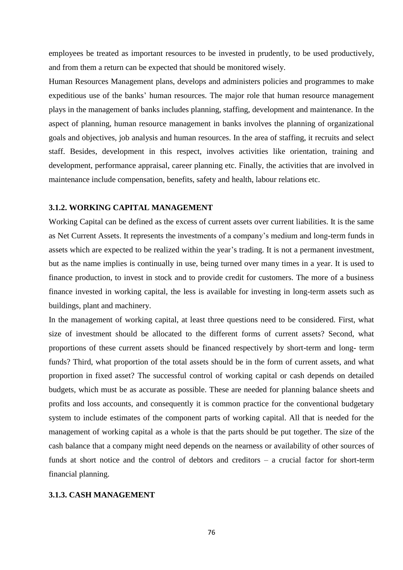employees be treated as important resources to be invested in prudently, to be used productively, and from them a return can be expected that should be monitored wisely.

Human Resources Management plans, develops and administers policies and programmes to make expeditious use of the banks' human resources. The major role that human resource management plays in the management of banks includes planning, staffing, development and maintenance. In the aspect of planning, human resource management in banks involves the planning of organizational goals and objectives, job analysis and human resources. In the area of staffing, it recruits and select staff. Besides, development in this respect, involves activities like orientation, training and development, performance appraisal, career planning etc. Finally, the activities that are involved in maintenance include compensation, benefits, safety and health, labour relations etc.

#### **3.1.2. WORKING CAPITAL MANAGEMENT**

Working Capital can be defined as the excess of current assets over current liabilities. It is the same as Net Current Assets. It represents the investments of a company's medium and long-term funds in assets which are expected to be realized within the year's trading. It is not a permanent investment, but as the name implies is continually in use, being turned over many times in a year. It is used to finance production, to invest in stock and to provide credit for customers. The more of a business finance invested in working capital, the less is available for investing in long-term assets such as buildings, plant and machinery.

In the management of working capital, at least three questions need to be considered. First, what size of investment should be allocated to the different forms of current assets? Second, what proportions of these current assets should be financed respectively by short-term and long- term funds? Third, what proportion of the total assets should be in the form of current assets, and what proportion in fixed asset? The successful control of working capital or cash depends on detailed budgets, which must be as accurate as possible. These are needed for planning balance sheets and profits and loss accounts, and consequently it is common practice for the conventional budgetary system to include estimates of the component parts of working capital. All that is needed for the management of working capital as a whole is that the parts should be put together. The size of the cash balance that a company might need depends on the nearness or availability of other sources of funds at short notice and the control of debtors and creditors – a crucial factor for short-term financial planning.

#### **3.1.3. CASH MANAGEMENT**

76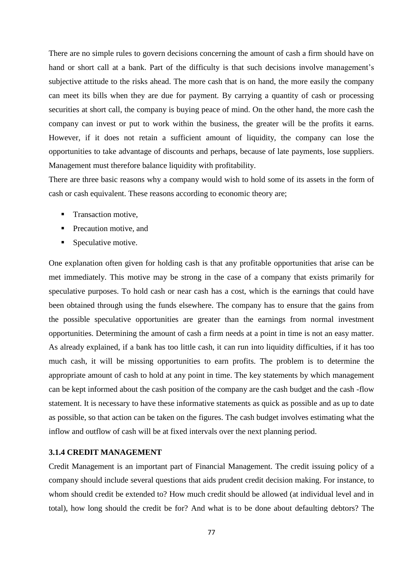There are no simple rules to govern decisions concerning the amount of cash a firm should have on hand or short call at a bank. Part of the difficulty is that such decisions involve management's subjective attitude to the risks ahead. The more cash that is on hand, the more easily the company can meet its bills when they are due for payment. By carrying a quantity of cash or processing securities at short call, the company is buying peace of mind. On the other hand, the more cash the company can invest or put to work within the business, the greater will be the profits it earns. However, if it does not retain a sufficient amount of liquidity, the company can lose the opportunities to take advantage of discounts and perhaps, because of late payments, lose suppliers. Management must therefore balance liquidity with profitability.

There are three basic reasons why a company would wish to hold some of its assets in the form of cash or cash equivalent. These reasons according to economic theory are;

- **Transaction motive.**
- **Precaution motive, and**
- **Speculative motive.**

One explanation often given for holding cash is that any profitable opportunities that arise can be met immediately. This motive may be strong in the case of a company that exists primarily for speculative purposes. To hold cash or near cash has a cost, which is the earnings that could have been obtained through using the funds elsewhere. The company has to ensure that the gains from the possible speculative opportunities are greater than the earnings from normal investment opportunities. Determining the amount of cash a firm needs at a point in time is not an easy matter. As already explained, if a bank has too little cash, it can run into liquidity difficulties, if it has too much cash, it will be missing opportunities to earn profits. The problem is to determine the appropriate amount of cash to hold at any point in time. The key statements by which management can be kept informed about the cash position of the company are the cash budget and the cash -flow statement. It is necessary to have these informative statements as quick as possible and as up to date as possible, so that action can be taken on the figures. The cash budget involves estimating what the inflow and outflow of cash will be at fixed intervals over the next planning period.

## **3.1.4 CREDIT MANAGEMENT**

Credit Management is an important part of Financial Management. The credit issuing policy of a company should include several questions that aids prudent credit decision making. For instance, to whom should credit be extended to? How much credit should be allowed (at individual level and in total), how long should the credit be for? And what is to be done about defaulting debtors? The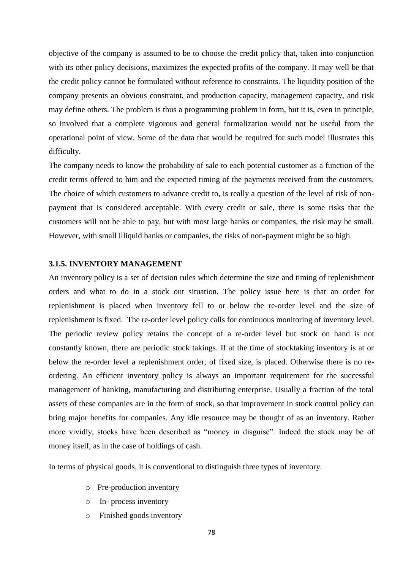objective of the company is assumed to be to choose the credit policy that, taken into conjunction with its other policy decisions, maximizes the expected profits of the company. It may well be that the credit policy cannot be formulated without reference to constraints. The liquidity position of the company presents an obvious constraint, and production capacity, management capacity, and risk may define others. The problem is thus a programming problem in form, but it is, even in principle, so involved that a complete vigorous and general formalization would not be useful from the operational point of view. Some of the data that would be required for such model illustrates this difficulty.

The company needs to know the probability of sale to each potential customer as a function of the credit terms offered to him and the expected timing of the payments received from the customers. The choice of which customers to advance credit to, is really a question of the level of risk of nonpayment that is considered acceptable. With every credit or sale, there is some risks that the customers will not be able to pay, but with most large banks or companies, the risk may be small. However, with small illiquid banks or companies, the risks of non-payment might be so high.

## **3.1.5. INVENTORY MANAGEMENT**

An inventory policy is a set of decision rules which determine the size and timing of replenishment orders and what to do in a stock out situation. The policy issue here is that an order for replenishment is placed when inventory fell to or below the re-order level and the size of replenishment is fixed. The re-order level policy calls for continuous monitoring of inventory level. The periodic review policy retains the concept of a re-order level but stock on hand is not constantly known, there are periodic stock takings. If at the time of stocktaking inventory is at or below the re-order level a replenishment order, of fixed size, is placed. Otherwise there is no reordering. An efficient inventory policy is always an important requirement for the successful management of banking, manufacturing and distributing enterprise. Usually a fraction of the total assets of these companies are in the form of stock, so that improvement in stock control policy can bring major benefits for companies. Any idle resource may be thought of as an inventory. Rather more vividly, stocks have been described as "money in disguise". Indeed the stock may be of money itself, as in the case of holdings of cash.

In terms of physical goods, it is conventional to distinguish three types of inventory.

- o Pre-production inventory
- o In- process inventory
- o Finished goods inventory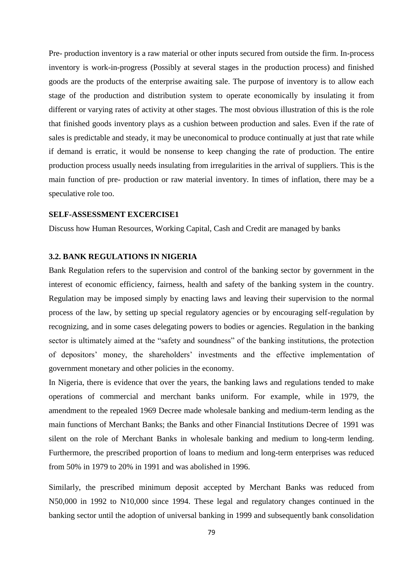Pre- production inventory is a raw material or other inputs secured from outside the firm. In-process inventory is work-in-progress (Possibly at several stages in the production process) and finished goods are the products of the enterprise awaiting sale. The purpose of inventory is to allow each stage of the production and distribution system to operate economically by insulating it from different or varying rates of activity at other stages. The most obvious illustration of this is the role that finished goods inventory plays as a cushion between production and sales. Even if the rate of sales is predictable and steady, it may be uneconomical to produce continually at just that rate while if demand is erratic, it would be nonsense to keep changing the rate of production. The entire production process usually needs insulating from irregularities in the arrival of suppliers. This is the main function of pre- production or raw material inventory. In times of inflation, there may be a speculative role too.

#### **SELF-ASSESSMENT EXCERCISE1**

Discuss how Human Resources, Working Capital, Cash and Credit are managed by banks

#### **3.2. BANK REGULATIONS IN NIGERIA**

Bank Regulation refers to the supervision and control of the banking sector by government in the interest of economic efficiency, fairness, health and safety of the banking system in the country. Regulation may be imposed simply by enacting laws and leaving their supervision to the normal process of the law, by setting up special regulatory agencies or by encouraging self-regulation by recognizing, and in some cases delegating powers to bodies or agencies. Regulation in the banking sector is ultimately aimed at the "safety and soundness" of the banking institutions, the protection of depositors' money, the shareholders' investments and the effective implementation of government monetary and other policies in the economy.

In Nigeria, there is evidence that over the years, the banking laws and regulations tended to make operations of commercial and merchant banks uniform. For example, while in 1979, the amendment to the repealed 1969 Decree made wholesale banking and medium-term lending as the main functions of Merchant Banks; the Banks and other Financial Institutions Decree of 1991 was silent on the role of Merchant Banks in wholesale banking and medium to long-term lending. Furthermore, the prescribed proportion of loans to medium and long-term enterprises was reduced from 50% in 1979 to 20% in 1991 and was abolished in 1996.

Similarly, the prescribed minimum deposit accepted by Merchant Banks was reduced from N50,000 in 1992 to N10,000 since 1994. These legal and regulatory changes continued in the banking sector until the adoption of universal banking in 1999 and subsequently bank consolidation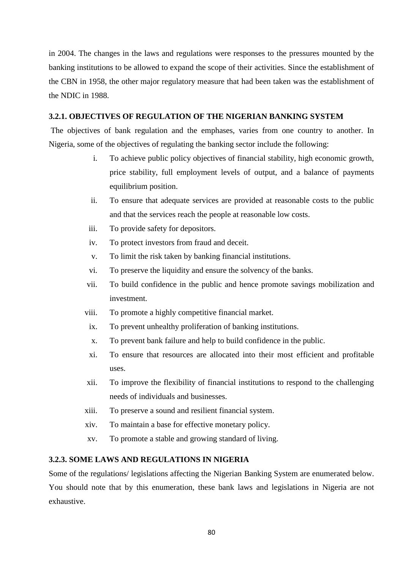in 2004. The changes in the laws and regulations were responses to the pressures mounted by the banking institutions to be allowed to expand the scope of their activities. Since the establishment of the CBN in 1958, the other major regulatory measure that had been taken was the establishment of the NDIC in 1988.

### **3.2.1. OBJECTIVES OF REGULATION OF THE NIGERIAN BANKING SYSTEM**

The objectives of bank regulation and the emphases, varies from one country to another. In Nigeria, some of the objectives of regulating the banking sector include the following:

- i. To achieve public policy objectives of financial stability, high economic growth, price stability, full employment levels of output, and a balance of payments equilibrium position.
- ii. To ensure that adequate services are provided at reasonable costs to the public and that the services reach the people at reasonable low costs.
- iii. To provide safety for depositors.
- iv. To protect investors from fraud and deceit.
- v. To limit the risk taken by banking financial institutions.
- vi. To preserve the liquidity and ensure the solvency of the banks.
- vii. To build confidence in the public and hence promote savings mobilization and investment.
- viii. To promote a highly competitive financial market.
- ix. To prevent unhealthy proliferation of banking institutions.
- x. To prevent bank failure and help to build confidence in the public.
- xi. To ensure that resources are allocated into their most efficient and profitable uses.
- xii. To improve the flexibility of financial institutions to respond to the challenging needs of individuals and businesses.
- xiii. To preserve a sound and resilient financial system.
- xiv. To maintain a base for effective monetary policy.
- xv. To promote a stable and growing standard of living.

#### **3.2.3. SOME LAWS AND REGULATIONS IN NIGERIA**

Some of the regulations/ legislations affecting the Nigerian Banking System are enumerated below. You should note that by this enumeration, these bank laws and legislations in Nigeria are not exhaustive.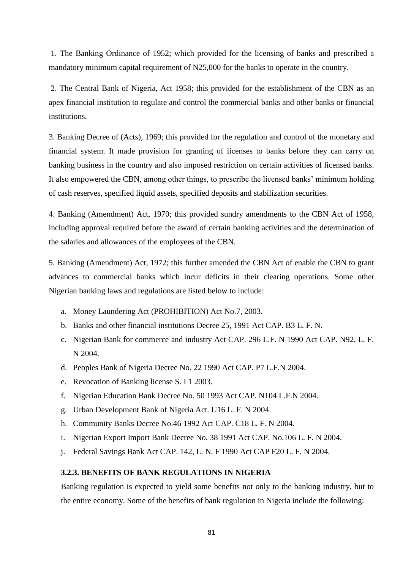1. The Banking Ordinance of 1952; which provided for the licensing of banks and prescribed a mandatory minimum capital requirement of N25,000 for the banks to operate in the country.

2. The Central Bank of Nigeria, Act 1958; this provided for the establishment of the CBN as an apex financial institution to regulate and control the commercial banks and other banks or financial institutions.

3. Banking Decree of (Acts), 1969; this provided for the regulation and control of the monetary and financial system. It made provision for granting of licenses to banks before they can carry on banking business in the country and also imposed restriction on certain activities of licensed banks. It also empowered the CBN, among other things, to prescribe the licensed banks' minimum holding of cash reserves, specified liquid assets, specified deposits and stabilization securities.

4. Banking (Amendment) Act, 1970; this provided sundry amendments to the CBN Act of 1958, including approval required before the award of certain banking activities and the determination of the salaries and allowances of the employees of the CBN.

5. Banking (Amendment) Act, 1972; this further amended the CBN Act of enable the CBN to grant advances to commercial banks which incur deficits in their clearing operations. Some other Nigerian banking laws and regulations are listed below to include:

- a. Money Laundering Act (PROHIBITION) Act No.7, 2003.
- b. Banks and other financial institutions Decree 25, 1991 Act CAP. B3 L. F. N.
- c. Nigerian Bank for commerce and industry Act CAP. 296 L.F. N 1990 Act CAP. N92, L. F. N 2004.
- d. Peoples Bank of Nigeria Decree No. 22 1990 Act CAP. P7 L.F.N 2004.
- e. Revocation of Banking license S. I 1 2003.
- f. Nigerian Education Bank Decree No. 50 1993 Act CAP. N104 L.F.N 2004.
- g. Urban Development Bank of Nigeria Act. U16 L. F. N 2004.
- h. Community Banks Decree No.46 1992 Act CAP. C18 L. F. N 2004.
- i. Nigerian Export Import Bank Decree No. 38 1991 Act CAP. No.106 L. F. N 2004.
- j. Federal Savings Bank Act CAP. 142, L. N. F 1990 Act CAP F20 L. F. N 2004.

#### **3.2.3. BENEFITS OF BANK REGULATIONS IN NIGERIA**

Banking regulation is expected to yield some benefits not only to the banking industry, but to the entire economy. Some of the benefits of bank regulation in Nigeria include the following: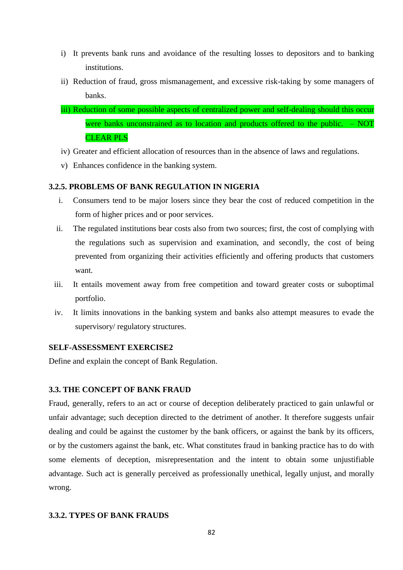- i) It prevents bank runs and avoidance of the resulting losses to depositors and to banking institutions.
- ii) Reduction of fraud, gross mismanagement, and excessive risk-taking by some managers of banks.
- iii) Reduction of some possible aspects of centralized power and self-dealing should this occur were banks unconstrained as to location and products offered to the public. – NOT CLEAR PLS
- iv) Greater and efficient allocation of resources than in the absence of laws and regulations.
- v) Enhances confidence in the banking system.

#### **3.2.5. PROBLEMS OF BANK REGULATION IN NIGERIA**

- i. Consumers tend to be major losers since they bear the cost of reduced competition in the form of higher prices and or poor services.
- ii. The regulated institutions bear costs also from two sources; first, the cost of complying with the regulations such as supervision and examination, and secondly, the cost of being prevented from organizing their activities efficiently and offering products that customers want.
- iii. It entails movement away from free competition and toward greater costs or suboptimal portfolio.
- iv. It limits innovations in the banking system and banks also attempt measures to evade the supervisory/ regulatory structures.

### **SELF-ASSESSMENT EXERCISE2**

Define and explain the concept of Bank Regulation.

## **3.3. THE CONCEPT OF BANK FRAUD**

Fraud, generally, refers to an act or course of deception deliberately practiced to gain unlawful or unfair advantage; such deception directed to the detriment of another. It therefore suggests unfair dealing and could be against the customer by the bank officers, or against the bank by its officers, or by the customers against the bank, etc. What constitutes fraud in banking practice has to do with some elements of deception, misrepresentation and the intent to obtain some unjustifiable advantage. Such act is generally perceived as professionally unethical, legally unjust, and morally wrong.

#### **3.3.2. TYPES OF BANK FRAUDS**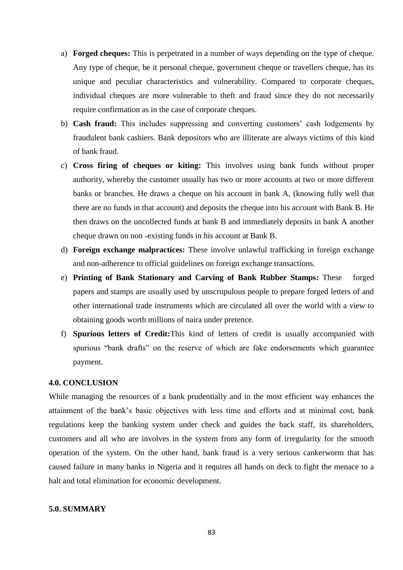- a) **Forged cheques:** This is perpetrated in a number of ways depending on the type of cheque. Any type of cheque, be it personal cheque, government cheque or travellers cheque, has its unique and peculiar characteristics and vulnerability. Compared to corporate cheques, individual cheques are more vulnerable to theft and fraud since they do not necessarily require confirmation as in the case of corporate cheques.
- b) **Cash fraud:** This includes suppressing and converting customers' cash lodgements by fraudulent bank cashiers. Bank depositors who are illiterate are always victims of this kind of bank fraud.
- c) **Cross firing of cheques or kiting:** This involves using bank funds without proper authority, whereby the customer usually has two or more accounts at two or more different banks or branches. He draws a cheque on his account in bank A, (knowing fully well that there are no funds in that account) and deposits the cheque into his account with Bank B. He then draws on the uncollected funds at bank B and immediately deposits in bank A another cheque drawn on non -existing funds in his account at Bank B.
- d) **Foreign exchange malpractices:** These involve unlawful trafficking in foreign exchange and non-adherence to official guidelines on foreign exchange transactions.
- e) **Printing of Bank Stationary and Carving of Bank Rubber Stamps:** These forged papers and stamps are usually used by unscrupulous people to prepare forged letters of and other international trade instruments which are circulated all over the world with a view to obtaining goods worth millions of naira under pretence.
- f) **Spurious letters of Credit:**This kind of letters of credit is usually accompanied with spurious "bank drafts" on the reserve of which are fake endorsements which guarantee payment.

#### **4.0. CONCLUSION**

While managing the resources of a bank prudentially and in the most efficient way enhances the attainment of the bank's basic objectives with less time and efforts and at minimal cost, bank regulations keep the banking system under check and guides the back staff, its shareholders, customers and all who are involves in the system from any form of irregularity for the smooth operation of the system. On the other hand, bank fraud is a very serious cankerworm that has caused failure in many banks in Nigeria and it requires all hands on deck to fight the menace to a halt and total elimination for economic development.

### **5.0. SUMMARY**